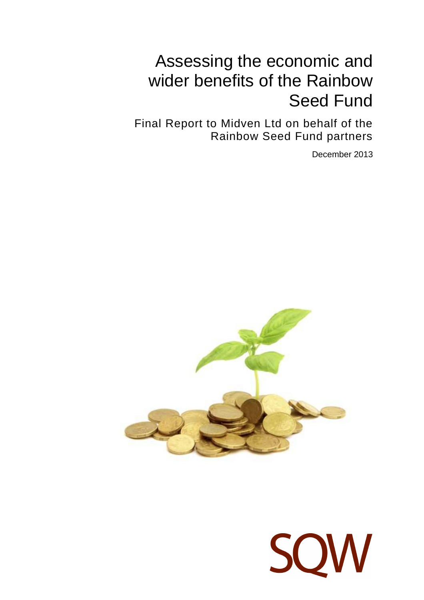# Assessing the economic and wider benefits of the Rainbow Seed Fund

Final Report to Midven Ltd on behalf of the Rainbow Seed Fund partners

December 2013



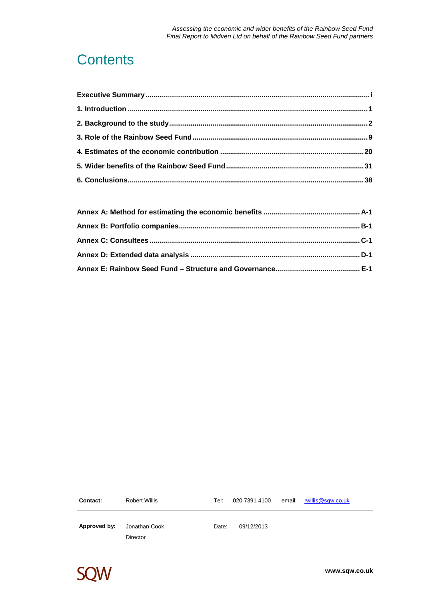## **Contents**

| Contact:     | Robert Willis | Tel: I |            | 020 7391 4100 $\cdot$ email $\cdot$ rwillis @sqw.co.uk |
|--------------|---------------|--------|------------|--------------------------------------------------------|
|              |               |        |            |                                                        |
| Approved by: | Jonathan Cook | Date:  | 09/12/2013 |                                                        |
|              | Director      |        |            |                                                        |

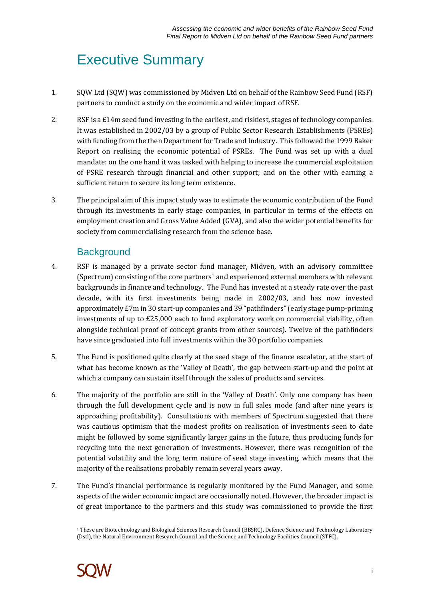## Executive Summary

- 1. SQW Ltd (SQW) was commissioned by Midven Ltd on behalf of the Rainbow Seed Fund (RSF) partners to conduct a study on the economic and wider impact of RSF.
- 2. RSF is a £14m seed fund investing in the earliest, and riskiest, stages of technology companies. It was established in 2002/03 by a group of Public Sector Research Establishments (PSREs) with funding from the then Department for Trade and Industry. This followed the 1999 Baker Report on realising the economic potential of PSREs. The Fund was set up with a dual mandate: on the one hand it was tasked with helping to increase the commercial exploitation of PSRE research through financial and other support; and on the other with earning a sufficient return to secure its long term existence.
- 3. The principal aim of this impact study was to estimate the economic contribution of the Fund through its investments in early stage companies, in particular in terms of the effects on employment creation and Gross Value Added (GVA), and also the wider potential benefits for society from commercialising research from the science base.

### **Background**

- 4. RSF is managed by a private sector fund manager, Midven, with an advisory committee (Spectrum) consisting of the core partners<sup>1</sup> and experienced external members with relevant backgrounds in finance and technology. The Fund has invested at a steady rate over the past decade, with its first investments being made in 2002/03, and has now invested approximately £7m in 30 start-up companies and 39 "pathfinders" (early stage pump-priming investments of up to £25,000 each to fund exploratory work on commercial viability, often alongside technical proof of concept grants from other sources). Twelve of the pathfinders have since graduated into full investments within the 30 portfolio companies.
- 5. The Fund is positioned quite clearly at the seed stage of the finance escalator, at the start of what has become known as the 'Valley of Death', the gap between start-up and the point at which a company can sustain itself through the sales of products and services.
- 6. The majority of the portfolio are still in the 'Valley of Death'. Only one company has been through the full development cycle and is now in full sales mode (and after nine years is approaching profitability). Consultations with members of Spectrum suggested that there was cautious optimism that the modest profits on realisation of investments seen to date might be followed by some significantly larger gains in the future, thus producing funds for recycling into the next generation of investments. However, there was recognition of the potential volatility and the long term nature of seed stage investing, which means that the majority of the realisations probably remain several years away.
- 7. The Fund's financial performance is regularly monitored by the Fund Manager, and some aspects of the wider economic impact are occasionally noted. However, the broader impact is of great importance to the partners and this study was commissioned to provide the first

 $\overline{a}$ <sup>1</sup> These are Biotechnology and Biological Sciences Research Council (BBSRC), Defence Science and Technology Laboratory (Dstl), the Natural Environment Research Council and the Science and Technology Facilities Council (STFC).

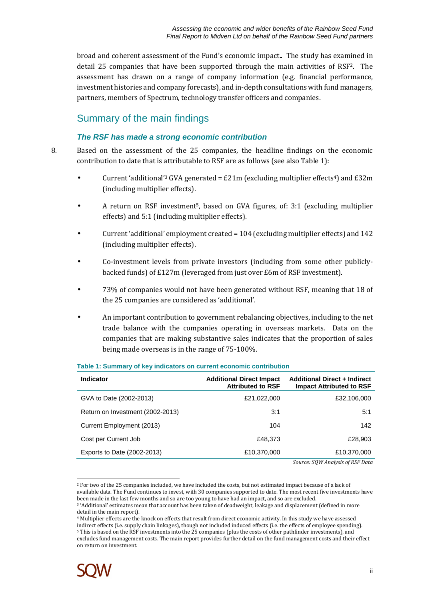broad and coherent assessment of the Fund's economic impact.. The study has examined in detail 25 companies that have been supported through the main activities of RSF2. The assessment has drawn on a range of company information (e.g. financial performance, investment histories and company forecasts), and in-depth consultations with fund managers, partners, members of Spectrum, technology transfer officers and companies.

## Summary of the main findings

### **The RSF has made a strong economic contribution**

8. Based on the assessment of the 25 companies, the headline findings on the economic contribution to date that is attributable to RSF are as follows (see also Table 1):

- Current 'additional'<sup>3</sup> GVA generated =  $E21m$  (excluding multiplier effects<sup>4</sup>) and  $E32m$ (including multiplier effects).
- A return on RSF investment5, based on GVA figures, of: 3:1 (excluding multiplier effects) and 5:1 (including multiplier effects).
- Current 'additional' employment created = 104 (excluding multiplier effects) and 142 (including multiplier effects).
- Co-investment levels from private investors (including from some other publiclybacked funds) of £127m (leveraged from just over £6m of RSF investment).
- 73% of companies would not have been generated without RSF, meaning that 18 of the 25 companies are considered as 'additional'.
- An important contribution to government rebalancing objectives, including to the net trade balance with the companies operating in overseas markets. Data on the companies that are making substantive sales indicates that the proportion of sales being made overseas is in the range of 75-100%.

| <b>Indicator</b>                 | <b>Additional Direct Impact</b><br><b>Attributed to RSF</b> | <b>Additional Direct + Indirect</b><br><b>Impact Attributed to RSF</b> |
|----------------------------------|-------------------------------------------------------------|------------------------------------------------------------------------|
| GVA to Date (2002-2013)          | £21,022,000                                                 | £32,106,000                                                            |
| Return on Investment (2002-2013) | 3:1                                                         | 5:1                                                                    |
| Current Employment (2013)        | 104                                                         | 142                                                                    |
| Cost per Current Job             | £48,373                                                     | £28,903                                                                |
| Exports to Date (2002-2013)      | £10,370,000                                                 | £10,370,000                                                            |
|                                  |                                                             | Source: SOW Analysis of RSF Data                                       |

### **Table 1: Summary of key indicators on current economic contribution**

*Source: SQW Analysis of RSF Data* 

<sup>4</sup> Multiplier effects are the knock on effects that result from direct economic activity. In this study we have assessed indirect effects (i.e. supply chain linkages), though not included induced effects (i.e. the effects of employee spending). <sup>5</sup> This is based on the RSF investments into the 25 companies (plus the costs of other pathfinder investments), and excludes fund management costs. The main report provides further detail on the fund management costs and their effect on return on investment.



 $\overline{a}$ <sup>2</sup> For two of the 25 companies included, we have included the costs, but not estimated impact because of a lack of available data. The Fund continues to invest, with 30 companies supported to date. The most recent five investments have been made in the last few months and so are too young to have had an impact, and so are excluded. <sup>3</sup> 'Additional' estimates mean that account has been taken of deadweight, leakage and displacement (defined in more detail in the main report).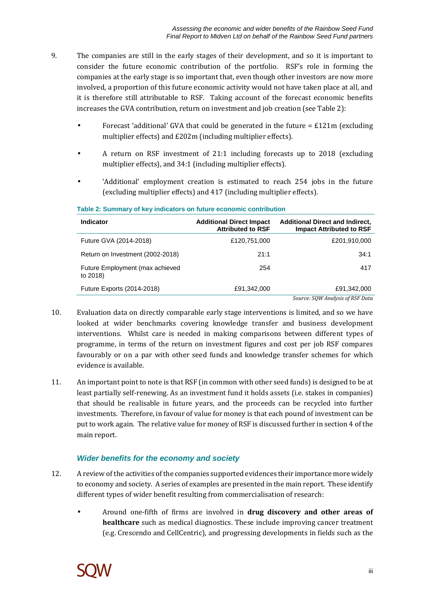- 9. The companies are still in the early stages of their development, and so it is important to consider the future economic contribution of the portfolio. RSF's role in forming the companies at the early stage is so important that, even though other investors are now more involved, a proportion of this future economic activity would not have taken place at all, and it is therefore still attributable to RSF. Taking account of the forecast economic benefits increases the GVA contribution, return on investment and job creation (see Table 2):
	- Forecast 'additional' GVA that could be generated in the future  $= \pounds 121$ m (excluding multiplier effects) and £202m (including multiplier effects).
	- A return on RSF investment of 21:1 including forecasts up to 2018 (excluding multiplier effects), and 34:1 (including multiplier effects).
	- 'Additional' employment creation is estimated to reach 254 jobs in the future (excluding multiplier effects) and 417 (including multiplier effects).

| <b>Indicator</b>                            | <b>Additional Direct Impact</b><br><b>Attributed to RSF</b> | <b>Additional Direct and Indirect,</b><br><b>Impact Attributed to RSF</b> |
|---------------------------------------------|-------------------------------------------------------------|---------------------------------------------------------------------------|
| Future GVA (2014-2018)                      | £120,751,000                                                | £201,910,000                                                              |
| Return on Investment (2002-2018)            | 21:1                                                        | 34:1                                                                      |
| Future Employment (max achieved<br>to 2018) | 254                                                         | 417                                                                       |
| Future Exports (2014-2018)                  | £91,342,000                                                 | £91,342,000                                                               |
|                                             |                                                             | Source: SOW Analysis of RSF Data                                          |

### **Table 2: Summary of key indicators on future economic contribution**

- 10. Evaluation data on directly comparable early stage interventions is limited, and so we have looked at wider benchmarks covering knowledge transfer and business development interventions. Whilst care is needed in making comparisons between different types of programme, in terms of the return on investment figures and cost per job RSF compares favourably or on a par with other seed funds and knowledge transfer schemes for which evidence is available.
- 11. An important point to note is that RSF (in common with other seed funds) is designed to be at least partially self-renewing. As an investment fund it holds assets (i.e. stakes in companies) that should be realisable in future years, and the proceeds can be recycled into further investments. Therefore, in favour of value for money is that each pound of investment can be put to work again. The relative value for money of RSF is discussed further in section 4 of the main report.

### **Wider benefits for the economy and society**

- 12. A review of the activities of the companies supported evidences their importance more widely to economy and society. A series of examples are presented in the main report. These identify different types of wider benefit resulting from commercialisation of research:
	- Around one-fifth of firms are involved in **drug discovery and other areas of healthcare** such as medical diagnostics. These include improving cancer treatment (e.g. Crescendo and CellCentric), and progressing developments in fields such as the

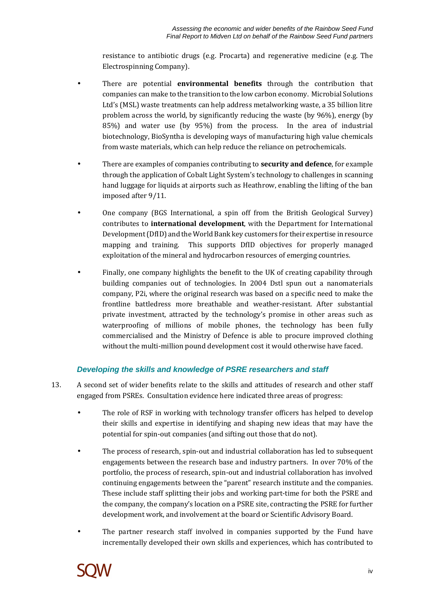resistance to antibiotic drugs (e.g. Procarta) and regenerative medicine (e.g. The Electrospinning Company).

- There are potential **environmental benefits** through the contribution that companies can make to the transition to the low carbon economy. Microbial Solutions Ltd's (MSL) waste treatments can help address metalworking waste, a 35 billion litre problem across the world, by significantly reducing the waste (by 96%), energy (by 85%) and water use (by 95%) from the process. In the area of industrial biotechnology, BioSyntha is developing ways of manufacturing high value chemicals from waste materials, which can help reduce the reliance on petrochemicals.
- There are examples of companies contributing to **security and defence**, for example through the application of Cobalt Light System's technology to challenges in scanning hand luggage for liquids at airports such as Heathrow, enabling the lifting of the ban imposed after 9/11.
- One company (BGS International, a spin off from the British Geological Survey) contributes to **international development**, with the Department for International Development (DfID) and the World Bank key customers for their expertise in resource mapping and training. This supports DfID objectives for properly managed exploitation of the mineral and hydrocarbon resources of emerging countries.
- Finally, one company highlights the benefit to the UK of creating capability through building companies out of technologies. In 2004 Dstl spun out a nanomaterials company, P2i, where the original research was based on a specific need to make the frontline battledress more breathable and weather-resistant. After substantial private investment, attracted by the technology's promise in other areas such as waterproofing of millions of mobile phones, the technology has been fully commercialised and the Ministry of Defence is able to procure improved clothing without the multi-million pound development cost it would otherwise have faced.

### **Developing the skills and knowledge of PSRE researchers and staff**

- 13. A second set of wider benefits relate to the skills and attitudes of research and other staff engaged from PSREs. Consultation evidence here indicated three areas of progress:
	- The role of RSF in working with technology transfer officers has helped to develop their skills and expertise in identifying and shaping new ideas that may have the potential for spin-out companies (and sifting out those that do not).
	- The process of research, spin-out and industrial collaboration has led to subsequent engagements between the research base and industry partners. In over 70% of the portfolio, the process of research, spin-out and industrial collaboration has involved continuing engagements between the "parent" research institute and the companies. These include staff splitting their jobs and working part-time for both the PSRE and the company, the company's location on a PSRE site, contracting the PSRE for further development work, and involvement at the board or Scientific Advisory Board.
	- The partner research staff involved in companies supported by the Fund have incrementally developed their own skills and experiences, which has contributed to

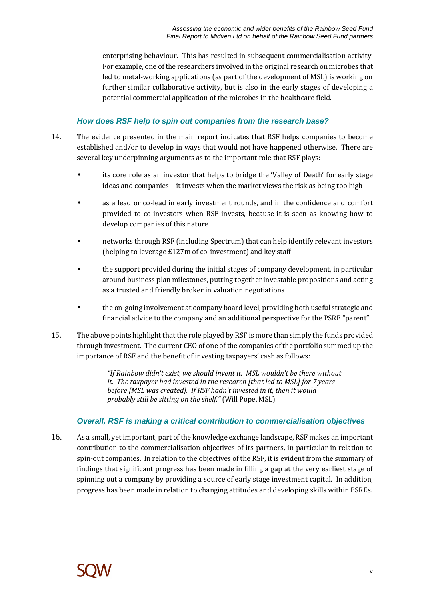enterprising behaviour. This has resulted in subsequent commercialisation activity. For example, one of the researchers involved in the original research on microbes that led to metal-working applications (as part of the development of MSL) is working on further similar collaborative activity, but is also in the early stages of developing a potential commercial application of the microbes in the healthcare field.

### **How does RSF help to spin out companies from the research base?**

- 14. The evidence presented in the main report indicates that RSF helps companies to become established and/or to develop in ways that would not have happened otherwise. There are several key underpinning arguments as to the important role that RSF plays:
	- its core role as an investor that helps to bridge the 'Valley of Death' for early stage ideas and companies – it invests when the market views the risk as being too high
	- as a lead or co-lead in early investment rounds, and in the confidence and comfort provided to co-investors when RSF invests, because it is seen as knowing how to develop companies of this nature
	- networks through RSF (including Spectrum) that can help identify relevant investors (helping to leverage £127m of co-investment) and key staff
	- the support provided during the initial stages of company development, in particular around business plan milestones, putting together investable propositions and acting as a trusted and friendly broker in valuation negotiations
	- the on-going involvement at company board level, providing both useful strategic and financial advice to the company and an additional perspective for the PSRE "parent".
- 15. The above points highlight that the role played by RSF is more than simply the funds provided through investment. The current CEO of one of the companies of the portfolio summed up the importance of RSF and the benefit of investing taxpayers' cash as follows:

*"If Rainbow didn't exist, we should invent it. MSL wouldn't be there without it. The taxpayer had invested in the research [that led to MSL] for 7 years before [MSL was created]. If RSF hadn't invested in it, then it would probably still be sitting on the shelf."* (Will Pope, MSL)

### **Overall, RSF is making a critical contribution to commercialisation objectives**

16. As a small, yet important, part of the knowledge exchange landscape, RSF makes an important contribution to the commercialisation objectives of its partners, in particular in relation to spin-out companies. In relation to the objectives of the RSF, it is evident from the summary of findings that significant progress has been made in filling a gap at the very earliest stage of spinning out a company by providing a source of early stage investment capital. In addition, progress has been made in relation to changing attitudes and developing skills within PSREs.

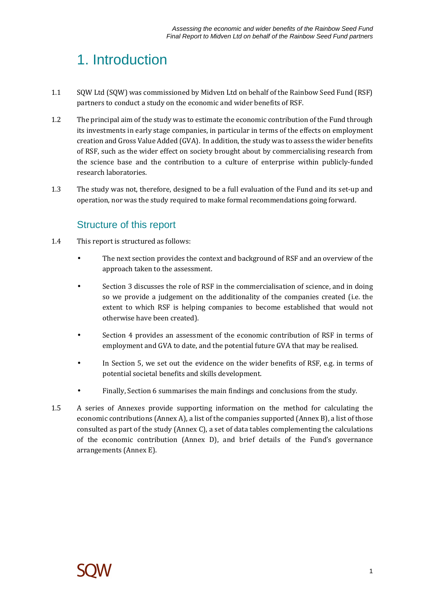## 1. Introduction

- 1.1 SQW Ltd (SQW) was commissioned by Midven Ltd on behalf of the Rainbow Seed Fund (RSF) partners to conduct a study on the economic and wider benefits of RSF.
- 1.2 The principal aim of the study was to estimate the economic contribution of the Fund through its investments in early stage companies, in particular in terms of the effects on employment creation and Gross Value Added (GVA). In addition, the study was to assess the wider benefits of RSF, such as the wider effect on society brought about by commercialising research from the science base and the contribution to a culture of enterprise within publicly-funded research laboratories.
- 1.3 The study was not, therefore, designed to be a full evaluation of the Fund and its set-up and operation, nor was the study required to make formal recommendations going forward.

## Structure of this report

- 1.4 This report is structured as follows:
	- The next section provides the context and background of RSF and an overview of the approach taken to the assessment.
	- Section 3 discusses the role of RSF in the commercialisation of science, and in doing so we provide a judgement on the additionality of the companies created (i.e. the extent to which RSF is helping companies to become established that would not otherwise have been created).
	- Section 4 provides an assessment of the economic contribution of RSF in terms of employment and GVA to date, and the potential future GVA that may be realised.
	- In Section 5, we set out the evidence on the wider benefits of RSF, e.g. in terms of potential societal benefits and skills development.
	- Finally, Section 6 summarises the main findings and conclusions from the study.
- 1.5 A series of Annexes provide supporting information on the method for calculating the economic contributions (Annex A), a list of the companies supported (Annex B), a list of those consulted as part of the study (Annex C), a set of data tables complementing the calculations of the economic contribution (Annex D), and brief details of the Fund's governance arrangements (Annex E).

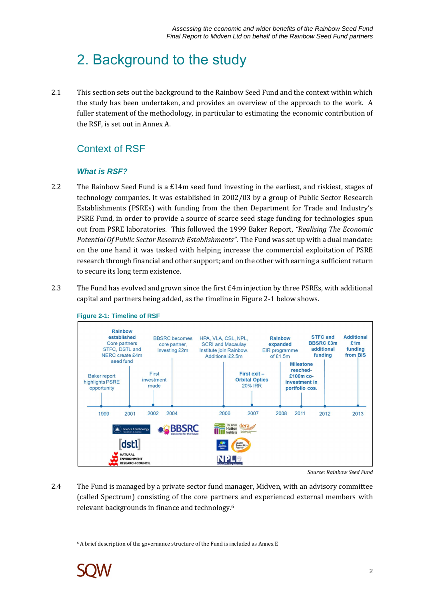## 2. Background to the study

2.1 This section sets out the background to the Rainbow Seed Fund and the context within which the study has been undertaken, and provides an overview of the approach to the work. A fuller statement of the methodology, in particular to estimating the economic contribution of the RSF, is set out in Annex A.

## Context of RSF

### **What is RSF?**

- 2.2 The Rainbow Seed Fund is a £14m seed fund investing in the earliest, and riskiest, stages of technology companies. It was established in 2002/03 by a group of Public Sector Research Establishments (PSREs) with funding from the then Department for Trade and Industry's PSRE Fund, in order to provide a source of scarce seed stage funding for technologies spun out from PSRE laboratories. This followed the 1999 Baker Report, *"Realising The Economic Potential Of Public Sector Research Establishments"*. The Fund was set up with a dual mandate: on the one hand it was tasked with helping increase the commercial exploitation of PSRE research through financial and other support; and on the other with earning a sufficient return to secure its long term existence.
- 2.3 The Fund has evolved and grown since the first  $\text{\pounds}4m$  injection by three PSREs, with additional capital and partners being added, as the timeline in Figure 2-1 below shows.





*Source: Rainbow Seed Fund* 

2.4 The Fund is managed by a private sector fund manager, Midven, with an advisory committee (called Spectrum) consisting of the core partners and experienced external members with relevant backgrounds in finance and technology.<sup>6</sup>

 $\overline{a}$ 6 A brief description of the governance structure of the Fund is included as Annex E

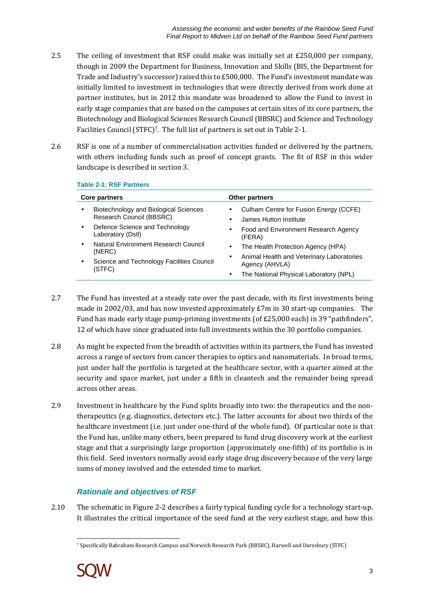- 2.5 The ceiling of investment that RSF could make was initially set at £250,000 per company, though in 2009 the Department for Business, Innovation and Skills (BIS, the Department for Trade and Industry's successor) raised this to £500,000. The Fund's investment mandate was initially limited to investment in technologies that were directly derived from work done at partner institutes, but in 2012 this mandate was broadened to allow the Fund to invest in early stage companies that are based on the campuses at certain sites of its core partners, the Biotechnology and Biological Sciences Research Council (BBSRC) and Science and Technology Facilities Council (STFC)7. The full list of partners is set out in Table 2-1.
- 2.6 RSF is one of a number of commercialisation activities funded or delivered by the partners, with others including funds such as proof of concept grants. The fit of RSF in this wider landscape is described in section 3.

### **Table 2-1: RSF Partners**

|           | Core partners                                                     |                        | Other partners                                                                  |
|-----------|-------------------------------------------------------------------|------------------------|---------------------------------------------------------------------------------|
|           | Biotechnology and Biological Sciences<br>Research Council (BBSRC) |                        | Culham Centre for Fusion Energy (CCFE)<br>James Hutton Institute                |
| $\bullet$ | Defence Science and Technology<br>Laboratory (Dstl)               | $\bullet$              | Food and Environment Research Agency<br>(FERA)                                  |
| ٠         | Natural Environment Research Council<br>(NERC)                    | $\bullet$<br>$\bullet$ | The Health Protection Agency (HPA)<br>Animal Health and Veterinary Laboratories |
| ٠         | Science and Technology Facilities Council<br>(STFC)               | ٠                      | Agency (AHVLA)<br>The National Physical Laboratory (NPL)                        |

- 2.7 The Fund has invested at a steady rate over the past decade, with its first investments being made in 2002/03, and has now invested approximately £7m in 30 start-up companies. The Fund has made early stage pump-priming investments (of £25,000 each) in 39 "pathfinders", 12 of which have since graduated into full investments within the 30 portfolio companies.
- 2.8 As might be expected from the breadth of activities within its partners, the Fund has invested across a range of sectors from cancer therapies to optics and nanomaterials. In broad terms, just under half the portfolio is targeted at the healthcare sector, with a quarter aimed at the security and space market, just under a fifth in cleantech and the remainder being spread across other areas.
- 2.9 Investment in healthcare by the Fund splits broadly into two: the therapeutics and the nontherapeutics (e.g. diagnostics, detectors etc.). The latter accounts for about two thirds of the healthcare investment (i.e. just under one-third of the whole fund). Of particular note is that the Fund has, unlike many others, been prepared to fund drug discovery work at the earliest stage and that a surprisingly large proportion (approximately one-fifth) of its portfolio is in this field. Seed investors normally avoid early stage drug discovery because of the very large sums of money involved and the extended time to market.

### **Rationale and objectives of RSF**

2.10 The schematic in Figure 2-2 describes a fairly typical funding cycle for a technology start-up. It illustrates the critical importance of the seed fund at the very earliest stage, and how this

 $\overline{a}$ 7 Specifically Babraham Research Campus and Norwich Research Park (BBSRC), Harwell and Daresbury (STFC)

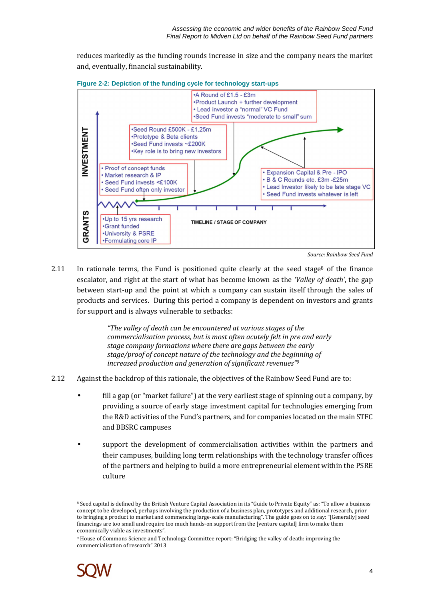reduces markedly as the funding rounds increase in size and the company nears the market and, eventually, financial sustainability.





2.11 In rationale terms, the Fund is positioned quite clearly at the seed stage<sup>8</sup> of the finance escalator, and right at the start of what has become known as the *'Valley of death'*, the gap between start-up and the point at which a company can sustain itself through the sales of products and services. During this period a company is dependent on investors and grants for support and is always vulnerable to setbacks:

> *"The valley of death can be encountered at various stages of the commercialisation process, but is most often acutely felt in pre and early stage company formations where there are gaps between the early stage/proof of concept nature of the technology and the beginning of increased production and generation of significant revenues"<sup>9</sup>*

- 2.12 Against the backdrop of this rationale, the objectives of the Rainbow Seed Fund are to:
	- fill a gap (or "market failure") at the very earliest stage of spinning out a company, by providing a source of early stage investment capital for technologies emerging from the R&D activities of the Fund's partners, and for companies located on the main STFC and BBSRC campuses
	- support the development of commercialisation activities within the partners and their campuses, building long term relationships with the technology transfer offices of the partners and helping to build a more entrepreneurial element within the PSRE culture

<sup>9</sup> House of Commons Science and Technology Committee report: "Bridging the valley of death: improving the commercialisation of research" 2013



 $\overline{\phantom{a}}$ 

<sup>8</sup> Seed capital is defined by the British Venture Capital Association in its "Guide to Private Equity" as: "To allow a business concept to be developed, perhaps involving the production of a business plan, prototypes and additional research, prior to bringing a product to market and commencing large-scale manufacturing". The guide goes on to say: "[Generally] seed financings are too small and require too much hands-on support from the [venture capital] firm to make them economically viable as investments".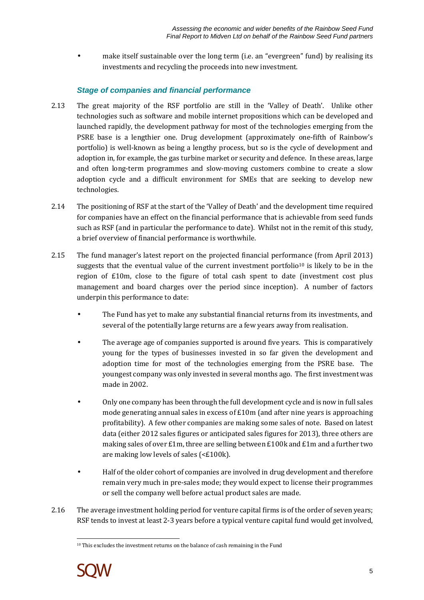• make itself sustainable over the long term (i.e. an "evergreen" fund) by realising its investments and recycling the proceeds into new investment.

### **Stage of companies and financial performance**

- 2.13 The great majority of the RSF portfolio are still in the 'Valley of Death'. Unlike other technologies such as software and mobile internet propositions which can be developed and launched rapidly, the development pathway for most of the technologies emerging from the PSRE base is a lengthier one. Drug development (approximately one-fifth of Rainbow's portfolio) is well-known as being a lengthy process, but so is the cycle of development and adoption in, for example, the gas turbine market or security and defence. In these areas, large and often long-term programmes and slow-moving customers combine to create a slow adoption cycle and a difficult environment for SMEs that are seeking to develop new technologies.
- 2.14 The positioning of RSF at the start of the 'Valley of Death' and the development time required for companies have an effect on the financial performance that is achievable from seed funds such as RSF (and in particular the performance to date). Whilst not in the remit of this study, a brief overview of financial performance is worthwhile.
- 2.15 The fund manager's latest report on the projected financial performance (from April 2013) suggests that the eventual value of the current investment portfolio<sup>10</sup> is likely to be in the region of £10m, close to the figure of total cash spent to date (investment cost plus management and board charges over the period since inception). A number of factors underpin this performance to date:
	- The Fund has yet to make any substantial financial returns from its investments, and several of the potentially large returns are a few years away from realisation.
	- The average age of companies supported is around five years. This is comparatively young for the types of businesses invested in so far given the development and adoption time for most of the technologies emerging from the PSRE base. The youngest company was only invested in several months ago. The first investment was made in 2002.
	- Only one company has been through the full development cycle and is now in full sales mode generating annual sales in excess of  $E10m$  (and after nine years is approaching profitability). A few other companies are making some sales of note. Based on latest data (either 2012 sales figures or anticipated sales figures for 2013), three others are making sales of over  $£1m$ , three are selling between  $£100k$  and  $£1m$  and a further two are making low levels of sales (<£100k).
	- Half of the older cohort of companies are involved in drug development and therefore remain very much in pre-sales mode; they would expect to license their programmes or sell the company well before actual product sales are made.
- 2.16 The average investment holding period for venture capital firms is of the order of seven years; RSF tends to invest at least 2-3 years before a typical venture capital fund would get involved,

 $\overline{a}$ <sup>10</sup> This excludes the investment returns on the balance of cash remaining in the Fund

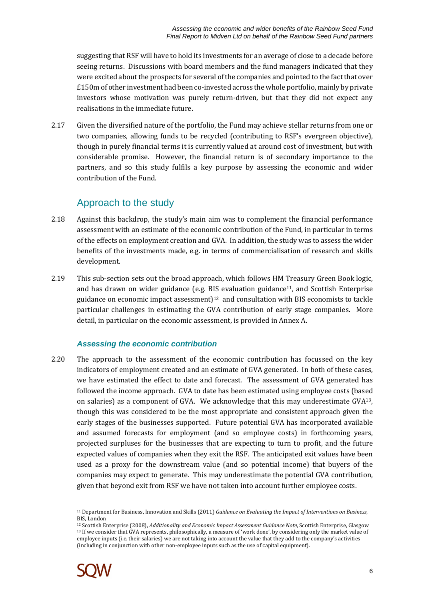suggesting that RSF will have to hold its investments for an average of close to a decade before seeing returns. Discussions with board members and the fund managers indicated that they were excited about the prospects for several of the companies and pointed to the fact that over £150m of other investment had been co-invested across the whole portfolio, mainly by private investors whose motivation was purely return-driven, but that they did not expect any realisations in the immediate future.

2.17 Given the diversified nature of the portfolio, the Fund may achieve stellar returns from one or two companies, allowing funds to be recycled (contributing to RSF's evergreen objective), though in purely financial terms it is currently valued at around cost of investment, but with considerable promise. However, the financial return is of secondary importance to the partners, and so this study fulfils a key purpose by assessing the economic and wider contribution of the Fund.

## Approach to the study

- 2.18 Against this backdrop, the study's main aim was to complement the financial performance assessment with an estimate of the economic contribution of the Fund, in particular in terms of the effects on employment creation and GVA. In addition, the study was to assess the wider benefits of the investments made, e.g. in terms of commercialisation of research and skills development.
- 2.19 This sub-section sets out the broad approach, which follows HM Treasury Green Book logic, and has drawn on wider guidance (e.g. BIS evaluation guidance<sup>11</sup>, and Scottish Enterprise guidance on economic impact assessment $]$ <sup>12</sup> and consultation with BIS economists to tackle particular challenges in estimating the GVA contribution of early stage companies. More detail, in particular on the economic assessment, is provided in Annex A.

### **Assessing the economic contribution**

2.20 The approach to the assessment of the economic contribution has focussed on the key indicators of employment created and an estimate of GVA generated. In both of these cases, we have estimated the effect to date and forecast. The assessment of GVA generated has followed the income approach. GVA to date has been estimated using employee costs (based on salaries) as a component of GVA. We acknowledge that this may underestimate GVA13, though this was considered to be the most appropriate and consistent approach given the early stages of the businesses supported. Future potential GVA has incorporated available and assumed forecasts for employment (and so employee costs) in forthcoming years, projected surpluses for the businesses that are expecting to turn to profit, and the future expected values of companies when they exit the RSF. The anticipated exit values have been used as a proxy for the downstream value (and so potential income) that buyers of the companies may expect to generate. This may underestimate the potential GVA contribution, given that beyond exit from RSF we have not taken into account further employee costs.

<sup>12</sup> Scottish Enterprise (2008), *Additionality and Economic Impact Assessment Guidance Note*, Scottish Enterprise, Glasgow <sup>13</sup> If we consider that GVA represents, philosophically, a measure of 'work done', by considering only the market value of employee inputs (i.e. their salaries) we are not taking into account the value that they add to the company's activities (including in conjunction with other non-employee inputs such as the use of capital equipment).



 $\overline{a}$ <sup>11</sup> Department for Business, Innovation and Skills (2011) *Guidance on Evaluating the Impact of Interventions on Business*, BIS, London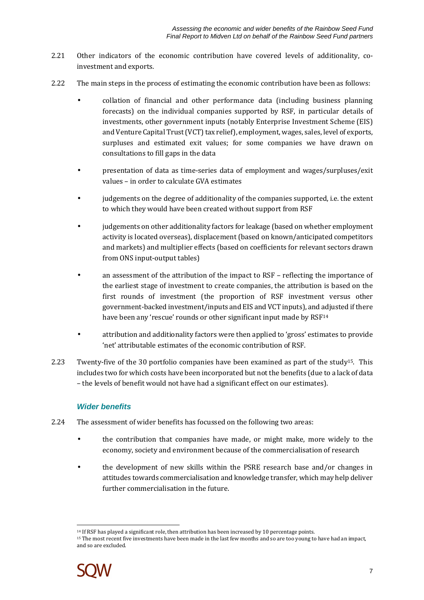- 2.21 Other indicators of the economic contribution have covered levels of additionality, coinvestment and exports.
- 2.22 The main steps in the process of estimating the economic contribution have been as follows:
	- collation of financial and other performance data (including business planning forecasts) on the individual companies supported by RSF, in particular details of investments, other government inputs (notably Enterprise Investment Scheme (EIS) and Venture Capital Trust (VCT) tax relief), employment, wages, sales, level of exports, surpluses and estimated exit values; for some companies we have drawn on consultations to fill gaps in the data
	- presentation of data as time-series data of employment and wages/surpluses/exit values – in order to calculate GVA estimates
	- judgements on the degree of additionality of the companies supported, i.e. the extent to which they would have been created without support from RSF
	- judgements on other additionality factors for leakage (based on whether employment activity is located overseas), displacement (based on known/anticipated competitors and markets) and multiplier effects (based on coefficients for relevant sectors drawn from ONS input-output tables)
	- an assessment of the attribution of the impact to RSF reflecting the importance of the earliest stage of investment to create companies, the attribution is based on the first rounds of investment (the proportion of RSF investment versus other government-backed investment/inputs and EIS and VCT inputs), and adjusted if there have been any 'rescue' rounds or other significant input made by RSF<sup>14</sup>
	- attribution and additionality factors were then applied to 'gross' estimates to provide 'net' attributable estimates of the economic contribution of RSF.
- 2.23 Twenty-five of the 30 portfolio companies have been examined as part of the study<sup>15</sup>. This includes two for which costs have been incorporated but not the benefits (due to a lack of data – the levels of benefit would not have had a significant effect on our estimates).

### **Wider benefits**

- 2.24 The assessment of wider benefits has focussed on the following two areas:
	- the contribution that companies have made, or might make, more widely to the economy, society and environment because of the commercialisation of research
	- the development of new skills within the PSRE research base and/or changes in attitudes towards commercialisation and knowledge transfer, which may help deliver further commercialisation in the future.

<sup>15</sup> The most recent five investments have been made in the last few months and so are too young to have had an impact, and so are excluded.



 $\overline{a}$ <sup>14</sup> If RSF has played a significant role, then attribution has been increased by 10 percentage points.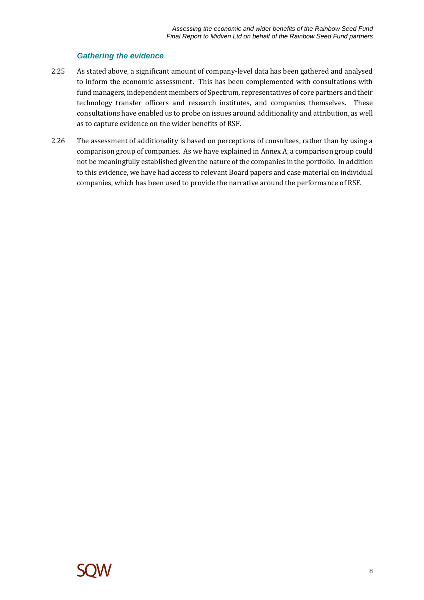### **Gathering the evidence**

- 2.25 As stated above, a significant amount of company-level data has been gathered and analysed to inform the economic assessment. This has been complemented with consultations with fund managers, independent members of Spectrum, representatives of core partners and their technology transfer officers and research institutes, and companies themselves. These consultations have enabled us to probe on issues around additionality and attribution, as well as to capture evidence on the wider benefits of RSF.
- 2.26 The assessment of additionality is based on perceptions of consultees, rather than by using a comparison group of companies. As we have explained in Annex A, a comparison group could not be meaningfully established given the nature of the companies in the portfolio. In addition to this evidence, we have had access to relevant Board papers and case material on individual companies, which has been used to provide the narrative around the performance of RSF.

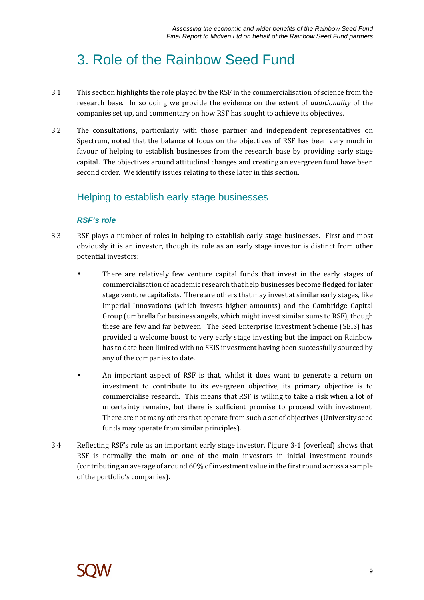## 3. Role of the Rainbow Seed Fund

- 3.1 This section highlights the role played by the RSF in the commercialisation of science from the research base. In so doing we provide the evidence on the extent of *additionality* of the companies set up, and commentary on how RSF has sought to achieve its objectives.
- 3.2 The consultations, particularly with those partner and independent representatives on Spectrum, noted that the balance of focus on the objectives of RSF has been very much in favour of helping to establish businesses from the research base by providing early stage capital. The objectives around attitudinal changes and creating an evergreen fund have been second order. We identify issues relating to these later in this section.

## Helping to establish early stage businesses

### **RSF's role**

- 3.3 RSF plays a number of roles in helping to establish early stage businesses. First and most obviously it is an investor, though its role as an early stage investor is distinct from other potential investors:
	- There are relatively few venture capital funds that invest in the early stages of commercialisation of academic research that help businesses become fledged for later stage venture capitalists. There are others that may invest at similar early stages, like Imperial Innovations (which invests higher amounts) and the Cambridge Capital Group (umbrella for business angels, which might invest similar sums to RSF), though these are few and far between. The Seed Enterprise Investment Scheme (SEIS) has provided a welcome boost to very early stage investing but the impact on Rainbow has to date been limited with no SEIS investment having been successfully sourced by any of the companies to date.
	- An important aspect of RSF is that, whilst it does want to generate a return on investment to contribute to its evergreen objective, its primary objective is to commercialise research. This means that RSF is willing to take a risk when a lot of uncertainty remains, but there is sufficient promise to proceed with investment. There are not many others that operate from such a set of objectives (University seed funds may operate from similar principles).
- 3.4 Reflecting RSF's role as an important early stage investor, Figure 3-1 (overleaf) shows that RSF is normally the main or one of the main investors in initial investment rounds (contributing an average of around 60% of investment value in the first round across a sample of the portfolio's companies).

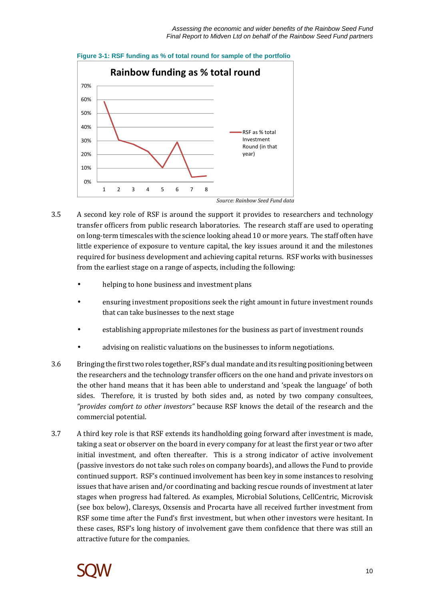

**Figure 3-1: RSF funding as % of total round for sample of the portfolio** 

- 3.5 A second key role of RSF is around the support it provides to researchers and technology transfer officers from public research laboratories. The research staff are used to operating on long-term timescales with the science looking ahead 10 or more years. The staff often have little experience of exposure to venture capital, the key issues around it and the milestones required for business development and achieving capital returns. RSF works with businesses from the earliest stage on a range of aspects, including the following:
	- helping to hone business and investment plans
	- ensuring investment propositions seek the right amount in future investment rounds that can take businesses to the next stage
	- establishing appropriate milestones for the business as part of investment rounds
	- advising on realistic valuations on the businesses to inform negotiations.
- 3.6 Bringing the first two roles together, RSF's dual mandate and its resulting positioning between the researchers and the technology transfer officers on the one hand and private investors on the other hand means that it has been able to understand and 'speak the language' of both sides. Therefore, it is trusted by both sides and, as noted by two company consultees, *"provides comfort to other investors"* because RSF knows the detail of the research and the commercial potential.
- 3.7 A third key role is that RSF extends its handholding going forward after investment is made, taking a seat or observer on the board in every company for at least the first year or two after initial investment, and often thereafter. This is a strong indicator of active involvement (passive investors do not take such roles on company boards), and allows the Fund to provide continued support. RSF's continued involvement has been key in some instances to resolving issues that have arisen and/or coordinating and backing rescue rounds of investment at later stages when progress had faltered. As examples, Microbial Solutions, CellCentric, Microvisk (see box below), Claresys, Oxsensis and Procarta have all received further investment from RSF some time after the Fund's first investment, but when other investors were hesitant. In these cases, RSF's long history of involvement gave them confidence that there was still an attractive future for the companies.

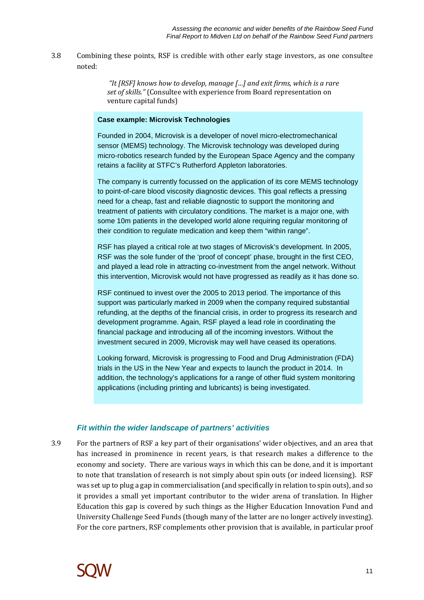3.8 Combining these points, RSF is credible with other early stage investors, as one consultee noted:

> *"It [RSF] knows how to develop, manage […] and exit firms, which is a rare set of skills."* (Consultee with experience from Board representation on venture capital funds)

### **Case example: Microvisk Technologies**

Founded in 2004, Microvisk is a developer of novel micro-electromechanical sensor (MEMS) technology. The Microvisk technology was developed during micro-robotics research funded by the European Space Agency and the company retains a facility at STFC's Rutherford Appleton laboratories.

The company is currently focussed on the application of its core MEMS technology to point-of-care blood viscosity diagnostic devices. This goal reflects a pressing need for a cheap, fast and reliable diagnostic to support the monitoring and treatment of patients with circulatory conditions. The market is a major one, with some 10m patients in the developed world alone requiring regular monitoring of their condition to regulate medication and keep them "within range".

RSF has played a critical role at two stages of Microvisk's development. In 2005, RSF was the sole funder of the 'proof of concept' phase, brought in the first CEO, and played a lead role in attracting co-investment from the angel network. Without this intervention, Microvisk would not have progressed as readily as it has done so.

RSF continued to invest over the 2005 to 2013 period. The importance of this support was particularly marked in 2009 when the company required substantial refunding, at the depths of the financial crisis, in order to progress its research and development programme. Again, RSF played a lead role in coordinating the financial package and introducing all of the incoming investors. Without the investment secured in 2009, Microvisk may well have ceased its operations.

Looking forward, Microvisk is progressing to Food and Drug Administration (FDA) trials in the US in the New Year and expects to launch the product in 2014. In addition, the technology's applications for a range of other fluid system monitoring applications (including printing and lubricants) is being investigated.

### **Fit within the wider landscape of partners' activities**

3.9 For the partners of RSF a key part of their organisations' wider objectives, and an area that has increased in prominence in recent years, is that research makes a difference to the economy and society. There are various ways in which this can be done, and it is important to note that translation of research is not simply about spin outs (or indeed licensing). RSF was set up to plug a gap in commercialisation (and specifically in relation to spin outs), and so it provides a small yet important contributor to the wider arena of translation. In Higher Education this gap is covered by such things as the Higher Education Innovation Fund and University Challenge Seed Funds (though many of the latter are no longer actively investing). For the core partners, RSF complements other provision that is available, in particular proof

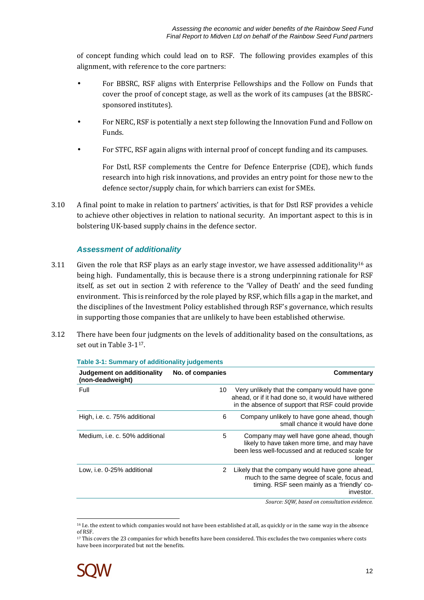of concept funding which could lead on to RSF. The following provides examples of this alignment, with reference to the core partners:

- For BBSRC, RSF aligns with Enterprise Fellowships and the Follow on Funds that cover the proof of concept stage, as well as the work of its campuses (at the BBSRCsponsored institutes).
- For NERC, RSF is potentially a next step following the Innovation Fund and Follow on Funds.
- For STFC, RSF again aligns with internal proof of concept funding and its campuses.

For Dstl, RSF complements the Centre for Defence Enterprise (CDE), which funds research into high risk innovations, and provides an entry point for those new to the defence sector/supply chain, for which barriers can exist for SMEs.

3.10 A final point to make in relation to partners' activities, is that for Dstl RSF provides a vehicle to achieve other objectives in relation to national security. An important aspect to this is in bolstering UK-based supply chains in the defence sector.

### **Assessment of additionality**

- 3.11 Given the role that RSF plays as an early stage investor, we have assessed additionality<sup>16</sup> as being high. Fundamentally, this is because there is a strong underpinning rationale for RSF itself, as set out in section 2 with reference to the 'Valley of Death' and the seed funding environment. This is reinforced by the role played by RSF, which fills a gap in the market, and the disciplines of the Investment Policy established through RSF's governance, which results in supporting those companies that are unlikely to have been established otherwise.
- 3.12 There have been four judgments on the levels of additionality based on the consultations, as set out in Table 3-117.

| Judgement on additionality<br>(non-deadweight) | No. of companies | Commentary                                                                                                                                                |
|------------------------------------------------|------------------|-----------------------------------------------------------------------------------------------------------------------------------------------------------|
| Full                                           | 10               | Very unlikely that the company would have gone<br>ahead, or if it had done so, it would have withered<br>in the absence of support that RSF could provide |
| High, i.e. c. 75% additional                   | 6                | Company unlikely to have gone ahead, though<br>small chance it would have done                                                                            |
| Medium, i.e. c. 50% additional                 | 5                | Company may well have gone ahead, though<br>likely to have taken more time, and may have<br>been less well-focussed and at reduced scale for<br>longer    |
| Low, i.e. 0-25% additional                     | 2                | Likely that the company would have gone ahead,<br>much to the same degree of scale, focus and<br>timing. RSF seen mainly as a 'friendly' co-<br>investor. |
|                                                |                  | Source: SOW, based on consultation evidence.                                                                                                              |

**Table 3-1: Summary of additionality judgements** 

<sup>17</sup> This covers the 23 companies for which benefits have been considered. This excludes the two companies where costs have been incorporated but not the benefits.



 $\overline{a}$ 

<sup>&</sup>lt;sup>16</sup> I.e. the extent to which companies would not have been established at all, as quickly or in the same way in the absence of RSF.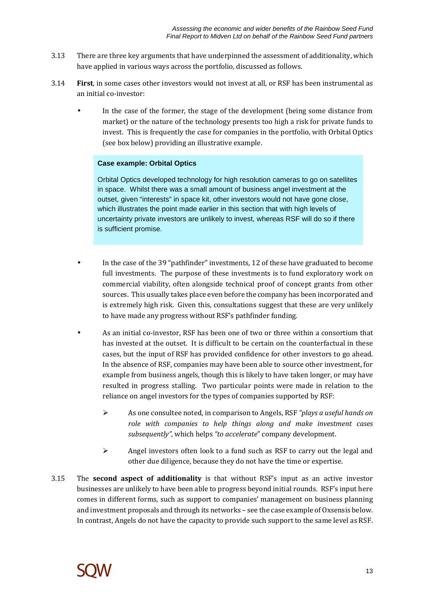- 3.13 There are three key arguments that have underpinned the assessment of additionality, which have applied in various ways across the portfolio, discussed as follows.
- 3.14 **First**, in some cases other investors would not invest at all, or RSF has been instrumental as an initial co-investor:
	- In the case of the former, the stage of the development (being some distance from market) or the nature of the technology presents too high a risk for private funds to invest. This is frequently the case for companies in the portfolio, with Orbital Optics (see box below) providing an illustrative example.

### **Case example: Orbital Optics**

Orbital Optics developed technology for high resolution cameras to go on satellites in space. Whilst there was a small amount of business angel investment at the outset, given "interests" in space kit, other investors would not have gone close, which illustrates the point made earlier in this section that with high levels of uncertainty private investors are unlikely to invest, whereas RSF will do so if there is sufficient promise.

- In the case of the 39 "pathfinder" investments, 12 of these have graduated to become full investments. The purpose of these investments is to fund exploratory work on commercial viability, often alongside technical proof of concept grants from other sources. This usually takes place even before the company has been incorporated and is extremely high risk. Given this, consultations suggest that these are very unlikely to have made any progress without RSF's pathfinder funding.
- As an initial co-investor, RSF has been one of two or three within a consortium that has invested at the outset. It is difficult to be certain on the counterfactual in these cases, but the input of RSF has provided confidence for other investors to go ahead. In the absence of RSF, companies may have been able to source other investment, for example from business angels, though this is likely to have taken longer, or may have resulted in progress stalling. Two particular points were made in relation to the reliance on angel investors for the types of companies supported by RSF:
	- As one consultee noted, in comparison to Angels, RSF *"plays a useful hands on role with companies to help things along and make investment cases subsequently"*, which helps *"to accelerate*" company development.
	- Angel investors often look to a fund such as RSF to carry out the legal and other due diligence, because they do not have the time or expertise.
- 3.15 The **second aspect of additionality** is that without RSF's input as an active investor businesses are unlikely to have been able to progress beyond initial rounds. RSF's input here comes in different forms, such as support to companies' management on business planning and investment proposals and through its networks – see the case example of Oxsensis below. In contrast, Angels do not have the capacity to provide such support to the same level as RSF.

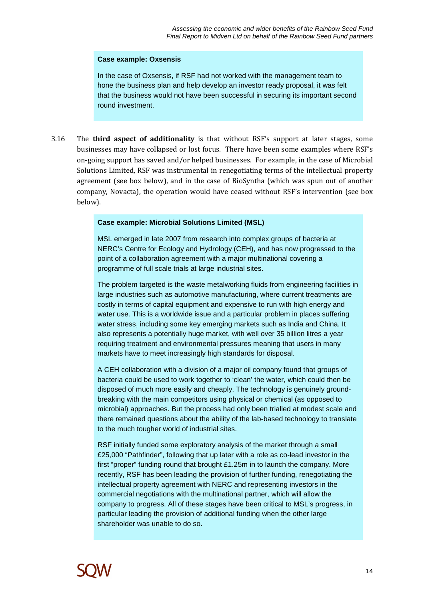### **Case example: Oxsensis**

In the case of Oxsensis, if RSF had not worked with the management team to hone the business plan and help develop an investor ready proposal, it was felt that the business would not have been successful in securing its important second round investment.

3.16 The **third aspect of additionality** is that without RSF's support at later stages, some businesses may have collapsed or lost focus. There have been some examples where RSF's on-going support has saved and/or helped businesses. For example, in the case of Microbial Solutions Limited, RSF was instrumental in renegotiating terms of the intellectual property agreement (see box below), and in the case of BioSyntha (which was spun out of another company, Novacta), the operation would have ceased without RSF's intervention (see box below).

### **Case example: Microbial Solutions Limited (MSL)**

MSL emerged in late 2007 from research into complex groups of bacteria at NERC's Centre for Ecology and Hydrology (CEH), and has now progressed to the point of a collaboration agreement with a major multinational covering a programme of full scale trials at large industrial sites.

The problem targeted is the waste metalworking fluids from engineering facilities in large industries such as automotive manufacturing, where current treatments are costly in terms of capital equipment and expensive to run with high energy and water use. This is a worldwide issue and a particular problem in places suffering water stress, including some key emerging markets such as India and China. It also represents a potentially huge market, with well over 35 billion litres a year requiring treatment and environmental pressures meaning that users in many markets have to meet increasingly high standards for disposal.

A CEH collaboration with a division of a major oil company found that groups of bacteria could be used to work together to 'clean' the water, which could then be disposed of much more easily and cheaply. The technology is genuinely groundbreaking with the main competitors using physical or chemical (as opposed to microbial) approaches. But the process had only been trialled at modest scale and there remained questions about the ability of the lab-based technology to translate to the much tougher world of industrial sites.

RSF initially funded some exploratory analysis of the market through a small £25,000 "Pathfinder", following that up later with a role as co-lead investor in the first "proper" funding round that brought £1.25m in to launch the company. More recently, RSF has been leading the provision of further funding, renegotiating the intellectual property agreement with NERC and representing investors in the commercial negotiations with the multinational partner, which will allow the company to progress. All of these stages have been critical to MSL's progress, in particular leading the provision of additional funding when the other large shareholder was unable to do so.

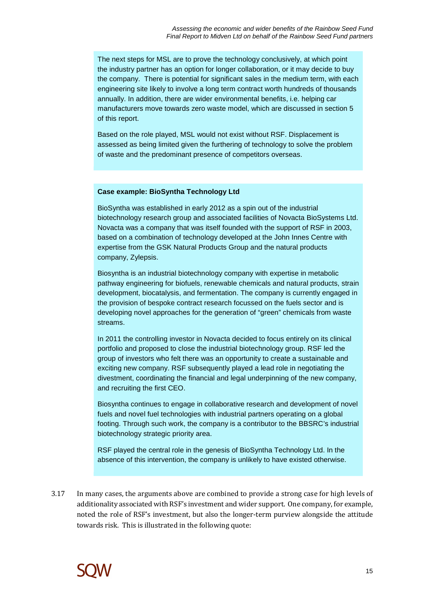The next steps for MSL are to prove the technology conclusively, at which point the industry partner has an option for longer collaboration, or it may decide to buy the company. There is potential for significant sales in the medium term, with each engineering site likely to involve a long term contract worth hundreds of thousands annually. In addition, there are wider environmental benefits, i.e. helping car manufacturers move towards zero waste model, which are discussed in section 5 of this report.

Based on the role played, MSL would not exist without RSF. Displacement is assessed as being limited given the furthering of technology to solve the problem of waste and the predominant presence of competitors overseas.

#### **Case example: BioSyntha Technology Ltd**

BioSyntha was established in early 2012 as a spin out of the industrial biotechnology research group and associated facilities of Novacta BioSystems Ltd. Novacta was a company that was itself founded with the support of RSF in 2003, based on a combination of technology developed at the John Innes Centre with expertise from the GSK Natural Products Group and the natural products company, Zylepsis.

Biosyntha is an industrial biotechnology company with expertise in metabolic pathway engineering for biofuels, renewable chemicals and natural products, strain development, biocatalysis, and fermentation. The company is currently engaged in the provision of bespoke contract research focussed on the fuels sector and is developing novel approaches for the generation of "green" chemicals from waste streams.

In 2011 the controlling investor in Novacta decided to focus entirely on its clinical portfolio and proposed to close the industrial biotechnology group. RSF led the group of investors who felt there was an opportunity to create a sustainable and exciting new company. RSF subsequently played a lead role in negotiating the divestment, coordinating the financial and legal underpinning of the new company, and recruiting the first CEO.

Biosyntha continues to engage in collaborative research and development of novel fuels and novel fuel technologies with industrial partners operating on a global footing. Through such work, the company is a contributor to the BBSRC's industrial biotechnology strategic priority area.

RSF played the central role in the genesis of BioSyntha Technology Ltd. In the absence of this intervention, the company is unlikely to have existed otherwise.

3.17 In many cases, the arguments above are combined to provide a strong case for high levels of additionality associated with RSF's investment and wider support. One company, for example, noted the role of RSF's investment, but also the longer-term purview alongside the attitude towards risk. This is illustrated in the following quote:

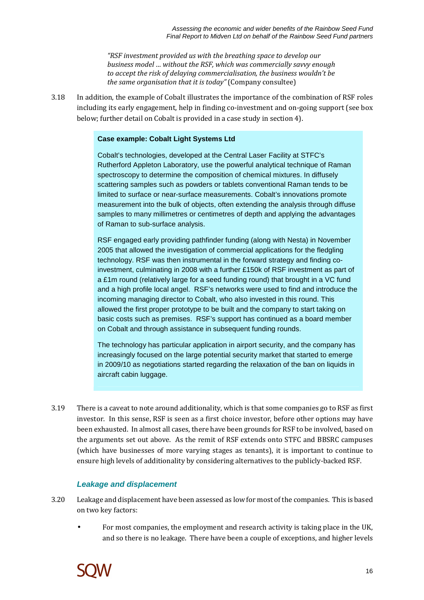*"RSF investment provided us with the breathing space to develop our business model … without the RSF, which was commercially savvy enough to accept the risk of delaying commercialisation, the business wouldn't be the same organisation that it is today"* (Company consultee)

3.18 In addition, the example of Cobalt illustrates the importance of the combination of RSF roles including its early engagement, help in finding co-investment and on-going support (see box below; further detail on Cobalt is provided in a case study in section 4).

### **Case example: Cobalt Light Systems Ltd**

Cobalt's technologies, developed at the Central Laser Facility at STFC's Rutherford Appleton Laboratory, use the powerful analytical technique of Raman spectroscopy to determine the composition of chemical mixtures. In diffusely scattering samples such as powders or tablets conventional Raman tends to be limited to surface or near-surface measurements. Cobalt's innovations promote measurement into the bulk of objects, often extending the analysis through diffuse samples to many millimetres or centimetres of depth and applying the advantages of Raman to sub-surface analysis.

RSF engaged early providing pathfinder funding (along with Nesta) in November 2005 that allowed the investigation of commercial applications for the fledgling technology. RSF was then instrumental in the forward strategy and finding coinvestment, culminating in 2008 with a further £150k of RSF investment as part of a £1m round (relatively large for a seed funding round) that brought in a VC fund and a high profile local angel. RSF's networks were used to find and introduce the incoming managing director to Cobalt, who also invested in this round. This allowed the first proper prototype to be built and the company to start taking on basic costs such as premises. RSF's support has continued as a board member on Cobalt and through assistance in subsequent funding rounds.

The technology has particular application in airport security, and the company has increasingly focused on the large potential security market that started to emerge in 2009/10 as negotiations started regarding the relaxation of the ban on liquids in aircraft cabin luggage.

3.19 There is a caveat to note around additionality, which is that some companies go to RSF as first investor. In this sense, RSF is seen as a first choice investor, before other options may have been exhausted. In almost all cases, there have been grounds for RSF to be involved, based on the arguments set out above. As the remit of RSF extends onto STFC and BBSRC campuses (which have businesses of more varying stages as tenants), it is important to continue to ensure high levels of additionality by considering alternatives to the publicly-backed RSF.

### **Leakage and displacement**

- 3.20 Leakage and displacement have been assessed as low for most of the companies. This is based on two key factors:
	- For most companies, the employment and research activity is taking place in the UK, and so there is no leakage. There have been a couple of exceptions, and higher levels

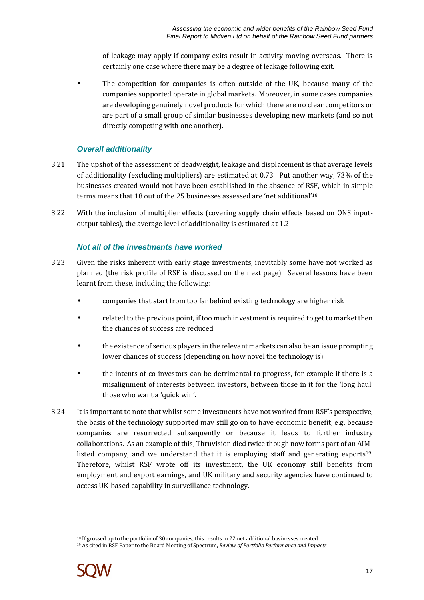of leakage may apply if company exits result in activity moving overseas. There is certainly one case where there may be a degree of leakage following exit.

The competition for companies is often outside of the UK, because many of the companies supported operate in global markets. Moreover, in some cases companies are developing genuinely novel products for which there are no clear competitors or are part of a small group of similar businesses developing new markets (and so not directly competing with one another).

### **Overall additionality**

- 3.21 The upshot of the assessment of deadweight, leakage and displacement is that average levels of additionality (excluding multipliers) are estimated at 0.73. Put another way, 73% of the businesses created would not have been established in the absence of RSF, which in simple terms means that 18 out of the 25 businesses assessed are 'net additional'18.
- 3.22 With the inclusion of multiplier effects (covering supply chain effects based on ONS inputoutput tables), the average level of additionality is estimated at 1.2.

### **Not all of the investments have worked**

- 3.23 Given the risks inherent with early stage investments, inevitably some have not worked as planned (the risk profile of RSF is discussed on the next page). Several lessons have been learnt from these, including the following:
	- companies that start from too far behind existing technology are higher risk
	- related to the previous point, if too much investment is required to get to market then the chances of success are reduced
	- the existence of serious players in the relevant markets can also be an issue prompting lower chances of success (depending on how novel the technology is)
	- the intents of co-investors can be detrimental to progress, for example if there is a misalignment of interests between investors, between those in it for the 'long haul' those who want a 'quick win'.
- 3.24 It is important to note that whilst some investments have not worked from RSF's perspective, the basis of the technology supported may still go on to have economic benefit, e.g. because companies are resurrected subsequently or because it leads to further industry collaborations. As an example of this, Thruvision died twice though now forms part of an AIMlisted company, and we understand that it is employing staff and generating exports19. Therefore, whilst RSF wrote off its investment, the UK economy still benefits from employment and export earnings, and UK military and security agencies have continued to access UK-based capability in surveillance technology.

<sup>19</sup> As cited in RSF Paper to the Board Meeting of Spectrum, *Review of Portfolio Performance and Impacts* 



 $\overline{a}$ <sup>18</sup> If grossed up to the portfolio of 30 companies, this results in 22 net additional businesses created.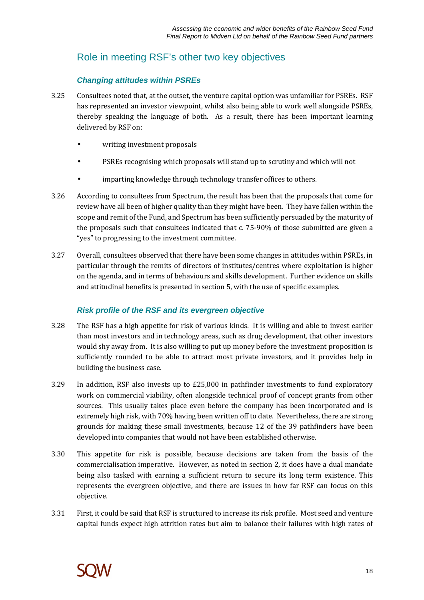## Role in meeting RSF's other two key objectives

### **Changing attitudes within PSREs**

- 3.25 Consultees noted that, at the outset, the venture capital option was unfamiliar for PSREs. RSF has represented an investor viewpoint, whilst also being able to work well alongside PSREs, thereby speaking the language of both. As a result, there has been important learning delivered by RSF on:
	- writing investment proposals
	- PSREs recognising which proposals will stand up to scrutiny and which will not
	- imparting knowledge through technology transfer offices to others.
- 3.26 According to consultees from Spectrum, the result has been that the proposals that come for review have all been of higher quality than they might have been. They have fallen within the scope and remit of the Fund, and Spectrum has been sufficiently persuaded by the maturity of the proposals such that consultees indicated that c. 75-90% of those submitted are given a "yes" to progressing to the investment committee.
- 3.27 Overall, consultees observed that there have been some changes in attitudes within PSREs, in particular through the remits of directors of institutes/centres where exploitation is higher on the agenda, and in terms of behaviours and skills development. Further evidence on skills and attitudinal benefits is presented in section 5, with the use of specific examples.

### **Risk profile of the RSF and its evergreen objective**

- 3.28 The RSF has a high appetite for risk of various kinds. It is willing and able to invest earlier than most investors and in technology areas, such as drug development, that other investors would shy away from. It is also willing to put up money before the investment proposition is sufficiently rounded to be able to attract most private investors, and it provides help in building the business case.
- 3.29 In addition, RSF also invests up to £25,000 in pathfinder investments to fund exploratory work on commercial viability, often alongside technical proof of concept grants from other sources. This usually takes place even before the company has been incorporated and is extremely high risk, with 70% having been written off to date. Nevertheless, there are strong grounds for making these small investments, because 12 of the 39 pathfinders have been developed into companies that would not have been established otherwise.
- 3.30 This appetite for risk is possible, because decisions are taken from the basis of the commercialisation imperative. However, as noted in section 2, it does have a dual mandate being also tasked with earning a sufficient return to secure its long term existence. This represents the evergreen objective, and there are issues in how far RSF can focus on this objective.
- 3.31 First, it could be said that RSF is structured to increase its risk profile. Most seed and venture capital funds expect high attrition rates but aim to balance their failures with high rates of

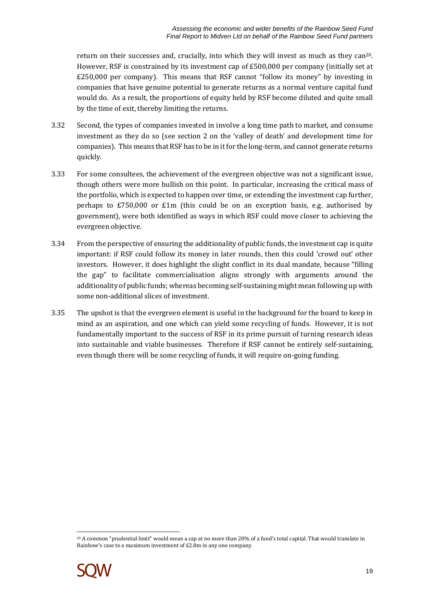return on their successes and, crucially, into which they will invest as much as they can20. However, RSF is constrained by its investment cap of £500,000 per company (initially set at £250,000 per company). This means that RSF cannot "follow its money" by investing in companies that have genuine potential to generate returns as a normal venture capital fund would do. As a result, the proportions of equity held by RSF become diluted and quite small by the time of exit, thereby limiting the returns.

- 3.32 Second, the types of companies invested in involve a long time path to market, and consume investment as they do so (see section 2 on the 'valley of death' and development time for companies). This means that RSF has to be in it for the long-term, and cannot generate returns quickly.
- 3.33 For some consultees, the achievement of the evergreen objective was not a significant issue, though others were more bullish on this point. In particular, increasing the critical mass of the portfolio, which is expected to happen over time, or extending the investment cap further, perhaps to £750,000 or £1m (this could be on an exception basis, e.g. authorised by government), were both identified as ways in which RSF could move closer to achieving the evergreen objective.
- 3.34 From the perspective of ensuring the additionality of public funds, the investment cap is quite important: if RSF could follow its money in later rounds, then this could 'crowd out' other investors. However, it does highlight the slight conflict in its dual mandate, because "filling the gap" to facilitate commercialisation aligns strongly with arguments around the additionality of public funds; whereas becoming self-sustaining might mean following up with some non-additional slices of investment.
- 3.35 The upshot is that the evergreen element is useful in the background for the board to keep in mind as an aspiration, and one which can yield some recycling of funds. However, it is not fundamentally important to the success of RSF in its prime pursuit of turning research ideas into sustainable and viable businesses. Therefore if RSF cannot be entirely self-sustaining, even though there will be some recycling of funds, it will require on-going funding.

 $\overline{a}$ <sup>20</sup> A common "prudential limit" would mean a cap at no more than 20% of a fund's total capital. That would translate in Rainbow's case to a maximum investment of £2.8m in any one company.

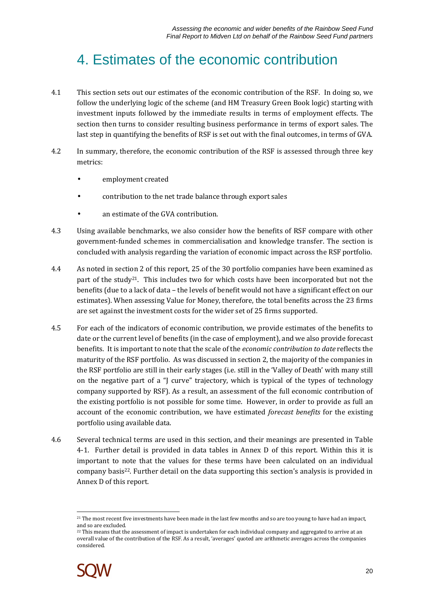## 4. Estimates of the economic contribution

- 4.1 This section sets out our estimates of the economic contribution of the RSF. In doing so, we follow the underlying logic of the scheme (and HM Treasury Green Book logic) starting with investment inputs followed by the immediate results in terms of employment effects. The section then turns to consider resulting business performance in terms of export sales. The last step in quantifying the benefits of RSF is set out with the final outcomes, in terms of GVA.
- 4.2 In summary, therefore, the economic contribution of the RSF is assessed through three key metrics:
	- employment created
	- contribution to the net trade balance through export sales
	- an estimate of the GVA contribution.
- 4.3 Using available benchmarks, we also consider how the benefits of RSF compare with other government-funded schemes in commercialisation and knowledge transfer. The section is concluded with analysis regarding the variation of economic impact across the RSF portfolio.
- 4.4 As noted in section 2 of this report, 25 of the 30 portfolio companies have been examined as part of the study<sup>21</sup>. This includes two for which costs have been incorporated but not the benefits (due to a lack of data – the levels of benefit would not have a significant effect on our estimates). When assessing Value for Money, therefore, the total benefits across the 23 firms are set against the investment costs for the wider set of 25 firms supported.
- 4.5 For each of the indicators of economic contribution, we provide estimates of the benefits to date or the current level of benefits (in the case of employment), and we also provide forecast benefits. It is important to note that the scale of the *economic contribution to date* reflects the maturity of the RSF portfolio. As was discussed in section 2, the majority of the companies in the RSF portfolio are still in their early stages (i.e. still in the 'Valley of Death' with many still on the negative part of a "J curve" trajectory, which is typical of the types of technology company supported by RSF). As a result, an assessment of the full economic contribution of the existing portfolio is not possible for some time. However, in order to provide as full an account of the economic contribution, we have estimated *forecast benefits* for the existing portfolio using available data.
- 4.6 Several technical terms are used in this section, and their meanings are presented in Table 4-1. Further detail is provided in data tables in Annex D of this report. Within this it is important to note that the values for these terms have been calculated on an individual company basis22. Further detail on the data supporting this section's analysis is provided in Annex D of this report.

<sup>&</sup>lt;sup>22</sup> This means that the assessment of impact is undertaken for each individual company and aggregated to arrive at an overall value of the contribution of the RSF. As a result, 'averages' quoted are arithmetic averages across the companies considered.



 $\overline{a}$ <sup>21</sup> The most recent five investments have been made in the last few months and so are too young to have had an impact, and so are excluded.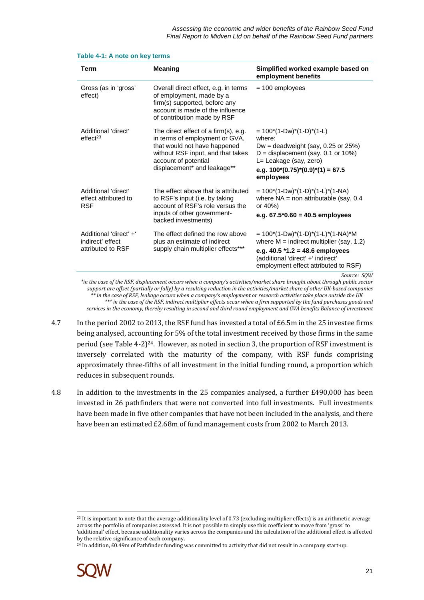| Term                                                            | <b>Meaning</b>                                                                                                                                                                                     | Simplified worked example based on<br>employment benefits                                                                                                                                                          |
|-----------------------------------------------------------------|----------------------------------------------------------------------------------------------------------------------------------------------------------------------------------------------------|--------------------------------------------------------------------------------------------------------------------------------------------------------------------------------------------------------------------|
| Gross (as in 'gross'<br>effect)                                 | Overall direct effect, e.g. in terms<br>of employment, made by a<br>firm(s) supported, before any<br>account is made of the influence<br>of contribution made by RSF                               | $= 100$ employees                                                                                                                                                                                                  |
| Additional 'direct'<br>effect <sup>23</sup>                     | The direct effect of a firm(s), e.g.<br>in terms of employment or GVA,<br>that would not have happened<br>without RSF input, and that takes<br>account of potential<br>displacement* and leakage** | $= 100*(1-Dw)*(1-D)*(1-L)$<br>where:<br>Dw = deadweight (say, 0.25 or $25\%$ )<br>$D =$ displacement (say, 0.1 or 10%)<br>L= Leakage (say, zero)<br>e.g. $100*(0.75)*(0.9)*(1) = 67.5$<br>employees                |
| Additional 'direct'<br>effect attributed to<br><b>RSF</b>       | The effect above that is attributed<br>to RSF's input (i.e. by taking<br>account of RSF's role versus the<br>inputs of other government-<br>backed investments)                                    | $= 100*(1-Dw)*(1-D)*(1-L)*(1-NA)$<br>where $NA =$ non attributable (say, 0.4<br>or $40%$ )<br>e.g. $67.5*0.60 = 40.5$ employees                                                                                    |
| Additional 'direct' +'<br>indirect' effect<br>attributed to RSF | The effect defined the row above<br>plus an estimate of indirect<br>supply chain multiplier effects***                                                                                             | $= 100*(1-Dw)*(1-D)*(1-L)*(1-NA)*M$<br>where $M =$ indirect multiplier (say, 1.2)<br>e.g. $40.5$ *1.2 = 48.6 employees<br>(additional 'direct' +' indirect'<br>employment effect attributed to RSF)<br>Source: SOW |

|  |  |  | Table 4-1: A note on key terms |
|--|--|--|--------------------------------|

*\*in the case of the RSF, displacement occurs when a company's activities/market share brought about through public sector support are offset (partially or fully) by a resulting reduction in the activities/market share of other UK-based companies \*\* in the case of RSF, leakage occurs when a company's employment or research activities take place outside the UK \*\*\* in the case of the RSF, indirect multiplier effects occur when a firm supported by the fund purchases goods and services in the economy, thereby resulting in second and third round employment and GVA benefits Balance of investment* 

- 4.7 In the period 2002 to 2013, the RSF fund has invested a total of £6.5m in the 25 investee firms being analysed, accounting for 5% of the total investment received by those firms in the same period (see Table 4-2)<sup>24</sup>. However, as noted in section 3, the proportion of RSF investment is inversely correlated with the maturity of the company, with RSF funds comprising approximately three-fifths of all investment in the initial funding round, a proportion which reduces in subsequent rounds.
- 4.8 In addition to the investments in the 25 companies analysed, a further £490,000 has been invested in 26 pathfinders that were not converted into full investments. Full investments have been made in five other companies that have not been included in the analysis, and there have been an estimated £2.68m of fund management costs from 2002 to March 2013.

<sup>&</sup>lt;sup>24</sup> In addition, £0.49m of Pathfinder funding was committed to activity that did not result in a company start-up.



 $\overline{a}$ 

 $^{23}$  It is important to note that the average additionality level of 0.73 (excluding multiplier effects) is an arithmetic average across the portfolio of companies assessed. It is not possible to simply use this coefficient to move from 'gross' to 'additional' effect, because additionality varies across the companies and the calculation of the additional effect is affected by the relative significance of each company.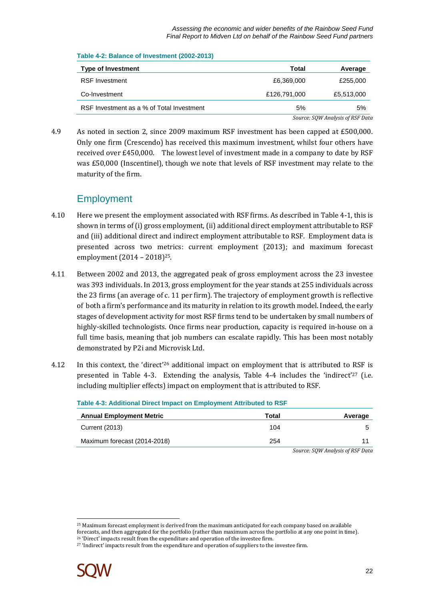Assessing the economic and wider benefits of the Rainbow Seed Fund Final Report to Midven Ltd on behalf of the Rainbow Seed Fund partners

| $1000 - 2.$ Daidrive VI Investment (2002 2010) |              |                                  |
|------------------------------------------------|--------------|----------------------------------|
| <b>Type of Investment</b>                      | Total        | Average                          |
| <b>RSF Investment</b>                          | £6.369,000   | £255,000                         |
| Co-Investment                                  | £126,791,000 | £5,513,000                       |
| RSF Investment as a % of Total Investment      | 5%           | 5%                               |
|                                                |              | Source: SOW Analysis of RSF Data |

### **Table 4-2: Balance of Investment (2002-2013)**

4.9 As noted in section 2, since 2009 maximum RSF investment has been capped at £500,000. Only one firm (Crescendo) has received this maximum investment, whilst four others have received over £450,000. The lowest level of investment made in a company to date by RSF was £50,000 (Inscentinel), though we note that levels of RSF investment may relate to the maturity of the firm.

### **Employment**

- 4.10 Here we present the employment associated with RSF firms. As described in Table 4-1, this is shown in terms of (i) gross employment, (ii) additional direct employment attributable to RSF and (iii) additional direct and indirect employment attributable to RSF. Employment data is presented across two metrics: current employment (2013); and maximum forecast employment (2014 – 2018)25.
- 4.11 Between 2002 and 2013, the aggregated peak of gross employment across the 23 investee was 393 individuals. In 2013, gross employment for the year stands at 255 individuals across the 23 firms (an average of c. 11 per firm). The trajectory of employment growth is reflective of both a firm's performance and its maturity in relation to its growth model. Indeed, the early stages of development activity for most RSF firms tend to be undertaken by small numbers of highly-skilled technologists. Once firms near production, capacity is required in-house on a full time basis, meaning that job numbers can escalate rapidly. This has been most notably demonstrated by P2i and Microvisk Ltd.
- 4.12 In this context, the 'direct'26 additional impact on employment that is attributed to RSF is presented in Table 4-3. Extending the analysis, Table 4-4 includes the 'indirect'<sup>27</sup> (i.e. including multiplier effects) impact on employment that is attributed to RSF.

| <b>Annual Employment Metric</b> | Total | Average                            |
|---------------------------------|-------|------------------------------------|
| Current (2013)                  | 104   |                                    |
| Maximum forecast (2014-2018)    | 254   |                                    |
|                                 |       | Correspondent Ampletic of DCE Data |

#### **Table 4-3: Additional Direct Impact on Employment Attributed to RSF**

*Source: SQW Analysis of RSF Data* 

<sup>&</sup>lt;sup>27</sup> 'Indirect' impacts result from the expenditure and operation of suppliers to the investee firm.



 $\overline{a}$ 

<sup>&</sup>lt;sup>25</sup> Maximum forecast employment is derived from the maximum anticipated for each company based on available forecasts, and then aggregated for the portfolio (rather than maximum across the portfolio at any one point in time). <sup>26</sup> 'Direct' impacts result from the expenditure and operation of the investee firm.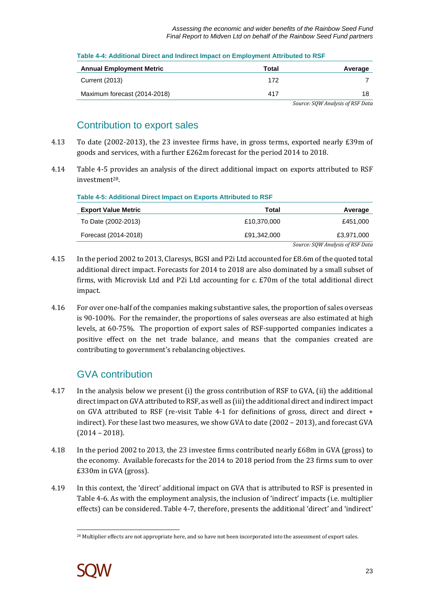Assessing the economic and wider benefits of the Rainbow Seed Fund Final Report to Midven Ltd on behalf of the Rainbow Seed Fund partners

| <b>Annual Employment Metric</b> | Total | Average                          |
|---------------------------------|-------|----------------------------------|
| <b>Current (2013)</b>           | 172   |                                  |
| Maximum forecast (2014-2018)    | 417   |                                  |
|                                 |       | Source: SOW Analysis of RSF Data |

### **Table 4-4: Additional Direct and Indirect Impact on Employment Attributed to RSF**

### Contribution to export sales

- 4.13 To date (2002-2013), the 23 investee firms have, in gross terms, exported nearly £39m of goods and services, with a further £262m forecast for the period 2014 to 2018.
- 4.14 Table 4-5 provides an analysis of the direct additional impact on exports attributed to RSF investment28.

| <b>Export Value Metric</b> | Total       | Average                          |
|----------------------------|-------------|----------------------------------|
| To Date (2002-2013)        | £10,370,000 | £451.000                         |
| Forecast (2014-2018)       | £91.342.000 | £3,971,000                       |
|                            |             | Source: SQW Analysis of RSF Data |

- 4.15 In the period 2002 to 2013, Claresys, BGSI and P2i Ltd accounted for £8.6m of the quoted total additional direct impact. Forecasts for 2014 to 2018 are also dominated by a small subset of firms, with Microvisk Ltd and P2i Ltd accounting for c. £70m of the total additional direct impact.
- 4.16 For over one-half of the companies making substantive sales, the proportion of sales overseas is 90-100%. For the remainder, the proportions of sales overseas are also estimated at high levels, at 60-75%. The proportion of export sales of RSF-supported companies indicates a positive effect on the net trade balance, and means that the companies created are contributing to government's rebalancing objectives.

## GVA contribution

- 4.17 In the analysis below we present (i) the gross contribution of RSF to GVA, (ii) the additional direct impact on GVA attributed to RSF, as well as (iii) the additional direct and indirect impact on GVA attributed to RSF (re-visit Table 4-1 for definitions of gross, direct and direct + indirect). For these last two measures, we show GVA to date (2002 – 2013), and forecast GVA (2014 – 2018).
- 4.18 In the period 2002 to 2013, the 23 investee firms contributed nearly £68m in GVA (gross) to the economy. Available forecasts for the 2014 to 2018 period from the 23 firms sum to over £330m in GVA (gross).
- 4.19 In this context, the 'direct' additional impact on GVA that is attributed to RSF is presented in Table 4-6. As with the employment analysis, the inclusion of 'indirect' impacts (i.e. multiplier effects) can be considered. Table 4-7, therefore, presents the additional 'direct' and 'indirect'

 $\overline{\phantom{a}}$ <sup>28</sup> Multiplier effects are not appropriate here, and so have not been incorporated into the assessment of export sales.

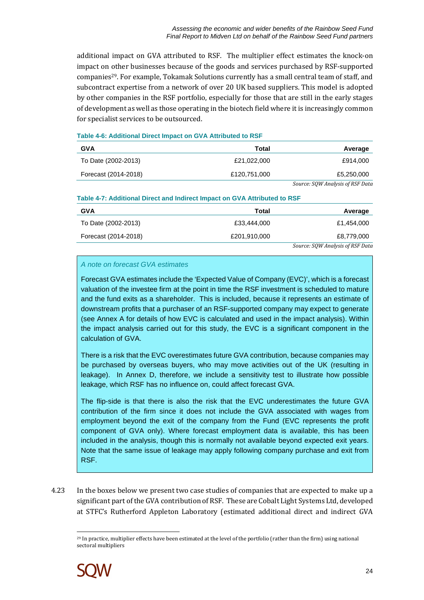additional impact on GVA attributed to RSF. The multiplier effect estimates the knock-on impact on other businesses because of the goods and services purchased by RSF-supported companies29. For example, Tokamak Solutions currently has a small central team of staff, and subcontract expertise from a network of over 20 UK based suppliers. This model is adopted by other companies in the RSF portfolio, especially for those that are still in the early stages of development as well as those operating in the biotech field where it is increasingly common for specialist services to be outsourced.

### **Table 4-6: Additional Direct Impact on GVA Attributed to RSF**

| <b>GVA</b>           | Total        | Average                    |
|----------------------|--------------|----------------------------|
| To Date (2002-2013)  | £21.022.000  | £914.000                   |
| Forecast (2014-2018) | £120,751,000 | £5,250,000                 |
|                      |              | $\alpha$ $\alpha$ $\alpha$ |

*Source: SQW Analysis of RSF Data* 

### **Table 4-7: Additional Direct and Indirect Impact on GVA Attributed to RSF**

| <b>GVA</b>           | Total        | Average                          |
|----------------------|--------------|----------------------------------|
| To Date (2002-2013)  | £33,444,000  | £1.454.000                       |
| Forecast (2014-2018) | £201,910,000 | £8,779,000                       |
|                      |              | Source: SQW Analysis of RSF Data |

### A note on forecast GVA estimates

Forecast GVA estimates include the 'Expected Value of Company (EVC)', which is a forecast valuation of the investee firm at the point in time the RSF investment is scheduled to mature and the fund exits as a shareholder. This is included, because it represents an estimate of downstream profits that a purchaser of an RSF-supported company may expect to generate (see Annex A for details of how EVC is calculated and used in the impact analysis). Within the impact analysis carried out for this study, the EVC is a significant component in the calculation of GVA.

There is a risk that the EVC overestimates future GVA contribution, because companies may be purchased by overseas buyers, who may move activities out of the UK (resulting in leakage). In Annex D, therefore, we include a sensitivity test to illustrate how possible leakage, which RSF has no influence on, could affect forecast GVA.

The flip-side is that there is also the risk that the EVC underestimates the future GVA contribution of the firm since it does not include the GVA associated with wages from employment beyond the exit of the company from the Fund (EVC represents the profit component of GVA only). Where forecast employment data is available, this has been included in the analysis, though this is normally not available beyond expected exit years. Note that the same issue of leakage may apply following company purchase and exit from RSF.

4.23 In the boxes below we present two case studies of companies that are expected to make up a significant part of the GVA contribution of RSF. These are Cobalt Light Systems Ltd, developed at STFC's Rutherford Appleton Laboratory (estimated additional direct and indirect GVA

 $\overline{a}$ <sup>29</sup> In practice, multiplier effects have been estimated at the level of the portfolio (rather than the firm) using national sectoral multipliers

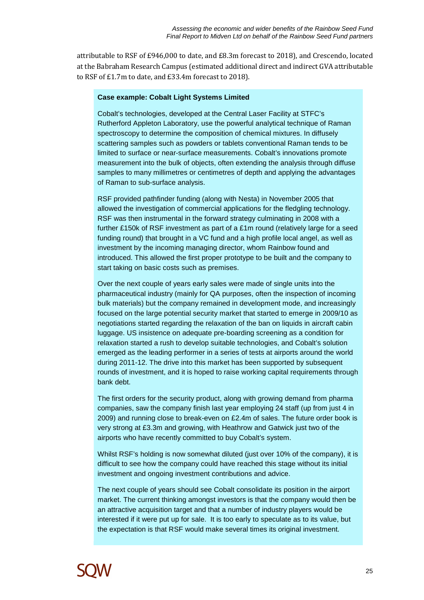attributable to RSF of £946,000 to date, and £8.3m forecast to 2018), and Crescendo, located at the Babraham Research Campus (estimated additional direct and indirect GVA attributable to RSF of £1.7m to date, and £33.4m forecast to 2018).

### **Case example: Cobalt Light Systems Limited**

Cobalt's technologies, developed at the Central Laser Facility at STFC's Rutherford Appleton Laboratory, use the powerful analytical technique of Raman spectroscopy to determine the composition of chemical mixtures. In diffusely scattering samples such as powders or tablets conventional Raman tends to be limited to surface or near-surface measurements. Cobalt's innovations promote measurement into the bulk of objects, often extending the analysis through diffuse samples to many millimetres or centimetres of depth and applying the advantages of Raman to sub-surface analysis.

RSF provided pathfinder funding (along with Nesta) in November 2005 that allowed the investigation of commercial applications for the fledgling technology. RSF was then instrumental in the forward strategy culminating in 2008 with a further £150k of RSF investment as part of a £1m round (relatively large for a seed funding round) that brought in a VC fund and a high profile local angel, as well as investment by the incoming managing director, whom Rainbow found and introduced. This allowed the first proper prototype to be built and the company to start taking on basic costs such as premises.

Over the next couple of years early sales were made of single units into the pharmaceutical industry (mainly for QA purposes, often the inspection of incoming bulk materials) but the company remained in development mode, and increasingly focused on the large potential security market that started to emerge in 2009/10 as negotiations started regarding the relaxation of the ban on liquids in aircraft cabin luggage. US insistence on adequate pre-boarding screening as a condition for relaxation started a rush to develop suitable technologies, and Cobalt's solution emerged as the leading performer in a series of tests at airports around the world during 2011-12. The drive into this market has been supported by subsequent rounds of investment, and it is hoped to raise working capital requirements through bank debt.

The first orders for the security product, along with growing demand from pharma companies, saw the company finish last year employing 24 staff (up from just 4 in 2009) and running close to break-even on £2.4m of sales. The future order book is very strong at £3.3m and growing, with Heathrow and Gatwick just two of the airports who have recently committed to buy Cobalt's system.

Whilst RSF's holding is now somewhat diluted (just over 10% of the company), it is difficult to see how the company could have reached this stage without its initial investment and ongoing investment contributions and advice.

The next couple of years should see Cobalt consolidate its position in the airport market. The current thinking amongst investors is that the company would then be an attractive acquisition target and that a number of industry players would be interested if it were put up for sale. It is too early to speculate as to its value, but the expectation is that RSF would make several times its original investment.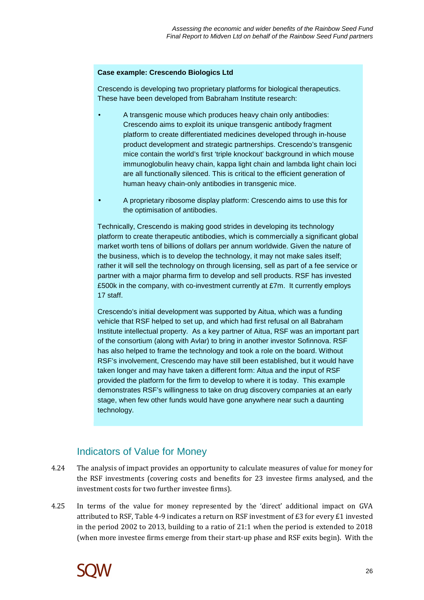### **Case example: Crescendo Biologics Ltd**

Crescendo is developing two proprietary platforms for biological therapeutics. These have been developed from Babraham Institute research:

- A transgenic mouse which produces heavy chain only antibodies: Crescendo aims to exploit its unique transgenic antibody fragment platform to create differentiated medicines developed through in-house product development and strategic partnerships. Crescendo's transgenic mice contain the world's first 'triple knockout' background in which mouse immunoglobulin heavy chain, kappa light chain and lambda light chain loci are all functionally silenced. This is critical to the efficient generation of human heavy chain-only antibodies in transgenic mice.
- A proprietary ribosome display platform: Crescendo aims to use this for the optimisation of antibodies.

Technically, Crescendo is making good strides in developing its technology platform to create therapeutic antibodies, which is commercially a significant global market worth tens of billions of dollars per annum worldwide. Given the nature of the business, which is to develop the technology, it may not make sales itself; rather it will sell the technology on through licensing, sell as part of a fee service or partner with a major pharma firm to develop and sell products. RSF has invested £500k in the company, with co-investment currently at £7m. It currently employs 17 staff.

Crescendo's initial development was supported by Aitua, which was a funding vehicle that RSF helped to set up, and which had first refusal on all Babraham Institute intellectual property. As a key partner of Aitua, RSF was an important part of the consortium (along with Avlar) to bring in another investor Sofinnova. RSF has also helped to frame the technology and took a role on the board. Without RSF's involvement, Crescendo may have still been established, but it would have taken longer and may have taken a different form: Aitua and the input of RSF provided the platform for the firm to develop to where it is today. This example demonstrates RSF's willingness to take on drug discovery companies at an early stage, when few other funds would have gone anywhere near such a daunting technology.

### Indicators of Value for Money

- 4.24 The analysis of impact provides an opportunity to calculate measures of value for money for the RSF investments (covering costs and benefits for 23 investee firms analysed, and the investment costs for two further investee firms).
- 4.25 In terms of the value for money represented by the 'direct' additional impact on GVA attributed to RSF, Table 4-9 indicates a return on RSF investment of £3 for every £1 invested in the period 2002 to 2013, building to a ratio of 21:1 when the period is extended to 2018 (when more investee firms emerge from their start-up phase and RSF exits begin). With the

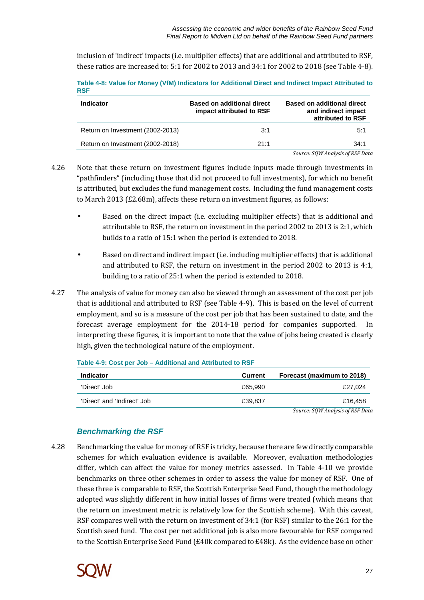inclusion of 'indirect' impacts (i.e. multiplier effects) that are additional and attributed to RSF, these ratios are increased to: 5:1 for 2002 to 2013 and 34:1 for 2002 to 2018 (see Table 4-8).

**Table 4-8: Value for Money (VfM) Indicators for Additional Direct and Indirect Impact Attributed to RSF** 

| <b>Indicator</b>                 | <b>Based on additional direct</b><br>impact attributed to RSF | <b>Based on additional direct</b><br>and indirect impact<br>attributed to RSF |
|----------------------------------|---------------------------------------------------------------|-------------------------------------------------------------------------------|
| Return on Investment (2002-2013) | 3:1                                                           | 5:1                                                                           |
| Return on Investment (2002-2018) | 21:1                                                          | 34:1                                                                          |
|                                  |                                                               | Source: SQW Analysis of RSF Data                                              |

4.26 Note that these return on investment figures include inputs made through investments in "pathfinders" (including those that did not proceed to full investments), for which no benefit is attributed, but excludes the fund management costs. Including the fund management costs to March 2013 (£2.68m), affects these return on investment figures, as follows:

- Based on the direct impact (i.e. excluding multiplier effects) that is additional and attributable to RSF, the return on investment in the period 2002 to 2013 is 2:1, which builds to a ratio of 15:1 when the period is extended to 2018.
- Based on direct and indirect impact (i.e. including multiplier effects) that is additional and attributed to RSF, the return on investment in the period 2002 to 2013 is 4:1, building to a ratio of 25:1 when the period is extended to 2018.
- 4.27 The analysis of value for money can also be viewed through an assessment of the cost per job that is additional and attributed to RSF (see Table 4-9). This is based on the level of current employment, and so is a measure of the cost per job that has been sustained to date, and the forecast average employment for the 2014-18 period for companies supported. In interpreting these figures, it is important to note that the value of jobs being created is clearly high, given the technological nature of the employment.

| <b>Indicator</b>            | Current | Forecast (maximum to 2018) |
|-----------------------------|---------|----------------------------|
| 'Direct' Job                | £65.990 | £27.024                    |
| 'Direct' and 'Indirect' Job | £39.837 | £16.458                    |
|                             |         | $\sim$<br>------           |

**Table 4-9: Cost per Job – Additional and Attributed to RSF** 

*Source: SQW Analysis of RSF Data* 

### **Benchmarking the RSF**

4.28 Benchmarking the value for money of RSF is tricky, because there are few directly comparable schemes for which evaluation evidence is available. Moreover, evaluation methodologies differ, which can affect the value for money metrics assessed. In Table 4-10 we provide benchmarks on three other schemes in order to assess the value for money of RSF. One of these three is comparable to RSF, the Scottish Enterprise Seed Fund, though the methodology adopted was slightly different in how initial losses of firms were treated (which means that the return on investment metric is relatively low for the Scottish scheme). With this caveat, RSF compares well with the return on investment of 34:1 (for RSF) similar to the 26:1 for the Scottish seed fund. The cost per net additional job is also more favourable for RSF compared to the Scottish Enterprise Seed Fund (£40k compared to £48k). As the evidence base on other

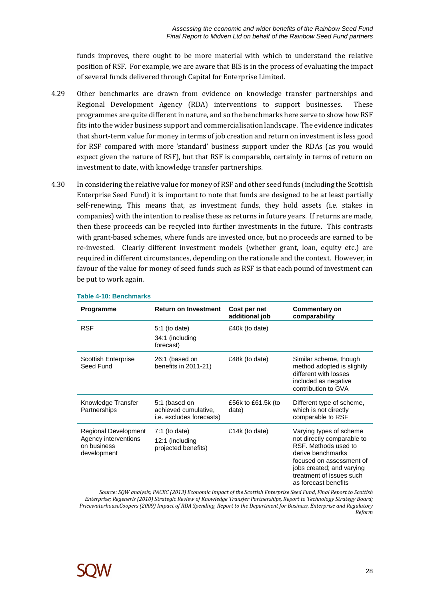funds improves, there ought to be more material with which to understand the relative position of RSF. For example, we are aware that BIS is in the process of evaluating the impact of several funds delivered through Capital for Enterprise Limited.

- 4.29 Other benchmarks are drawn from evidence on knowledge transfer partnerships and Regional Development Agency (RDA) interventions to support businesses. These programmes are quite different in nature, and so the benchmarks here serve to show how RSF fits into the wider business support and commercialisation landscape. The evidence indicates that short-term value for money in terms of job creation and return on investment is less good for RSF compared with more 'standard' business support under the RDAs (as you would expect given the nature of RSF), but that RSF is comparable, certainly in terms of return on investment to date, with knowledge transfer partnerships.
- 4.30 In considering the relative value for money of RSF and other seed funds (including the Scottish Enterprise Seed Fund) it is important to note that funds are designed to be at least partially self-renewing. This means that, as investment funds, they hold assets (i.e. stakes in companies) with the intention to realise these as returns in future years. If returns are made, then these proceeds can be recycled into further investments in the future. This contrasts with grant-based schemes, where funds are invested once, but no proceeds are earned to be re-invested. Clearly different investment models (whether grant, loan, equity etc.) are required in different circumstances, depending on the rationale and the context. However, in favour of the value for money of seed funds such as RSF is that each pound of investment can be put to work again.

| <b>Programme</b>                                                           | <b>Return on Investment</b>                                       | Cost per net<br>additional job | <b>Commentary on</b><br>comparability                                                                                                                                                                           |
|----------------------------------------------------------------------------|-------------------------------------------------------------------|--------------------------------|-----------------------------------------------------------------------------------------------------------------------------------------------------------------------------------------------------------------|
| <b>RSF</b>                                                                 | $5:1$ (to date)<br>34:1 (including<br>forecast)                   | £40k (to date)                 |                                                                                                                                                                                                                 |
| <b>Scottish Enterprise</b><br>Seed Fund                                    | 26:1 (based on<br>benefits in 2011-21)                            | £48k (to date)                 | Similar scheme, though<br>method adopted is slightly<br>different with losses<br>included as negative<br>contribution to GVA                                                                                    |
| Knowledge Transfer<br>Partnerships                                         | 5:1 (based on<br>achieved cumulative,<br>i.e. excludes forecasts) | £56k to £61.5k (to<br>date)    | Different type of scheme,<br>which is not directly<br>comparable to RSF                                                                                                                                         |
| Regional Development<br>Agency interventions<br>on business<br>development | $7:1$ (to date)<br>12:1 (including<br>projected benefits)         | £14k (to date)                 | Varying types of scheme<br>not directly comparable to<br>RSF. Methods used to<br>derive benchmarks<br>focused on assessment of<br>jobs created; and varying<br>treatment of issues such<br>as forecast benefits |

### **Table 4-10: Benchmarks**

*Source: SQW analysis; PACEC (2013) Economic Impact of the Scottish Enterprise Seed Fund*, *Final Report to Scottish Enterprise; Regeneris (2010) Strategic Review of Knowledge Transfer Partnerships, Report to Technology Strategy Board; PricewaterhouseCoopers (2009) Impact of RDA Spending, Report to the Department for Business, Enterprise and Regulatory Reform* 

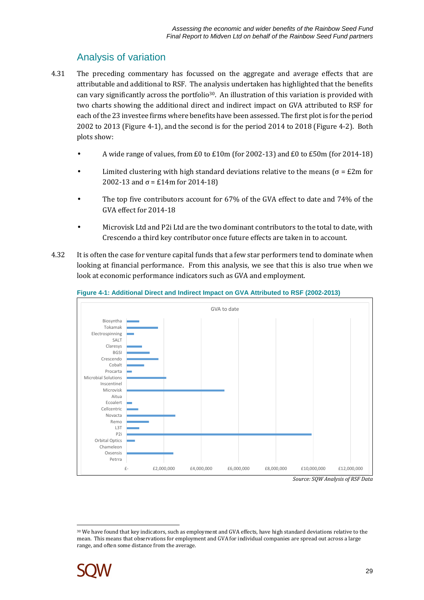## Analysis of variation

- 4.31 The preceding commentary has focussed on the aggregate and average effects that are attributable and additional to RSF. The analysis undertaken has highlighted that the benefits can vary significantly across the portfolio<sup>30</sup>. An illustration of this variation is provided with two charts showing the additional direct and indirect impact on GVA attributed to RSF for each of the 23 investee firms where benefits have been assessed. The first plot is for the period 2002 to 2013 (Figure 4-1), and the second is for the period 2014 to 2018 (Figure 4-2). Both plots show:
	- A wide range of values, from £0 to £10m (for 2002-13) and £0 to £50m (for 2014-18)
	- Limited clustering with high standard deviations relative to the means ( $\sigma = \pounds 2m$  for 2002-13 and  $\sigma = \text{\pounds}14$ m for 2014-18)
	- The top five contributors account for 67% of the GVA effect to date and 74% of the GVA effect for 2014-18
	- Microvisk Ltd and P2i Ltd are the two dominant contributors to the total to date, with Crescendo a third key contributor once future effects are taken in to account.
- 4.32 It is often the case for venture capital funds that a few star performers tend to dominate when looking at financial performance. From this analysis, we see that this is also true when we look at economic performance indicators such as GVA and employment.



### **Figure 4-1: Additional Direct and Indirect Impact on GVA Attributed to RSF (2002-2013)**

*Source: SQW Analysis of RSF Data* 

 $\overline{a}$ <sup>30</sup> We have found that key indicators, such as employment and GVA effects, have high standard deviations relative to the mean. This means that observations for employment and GVA for individual companies are spread out across a large range, and often some distance from the average.

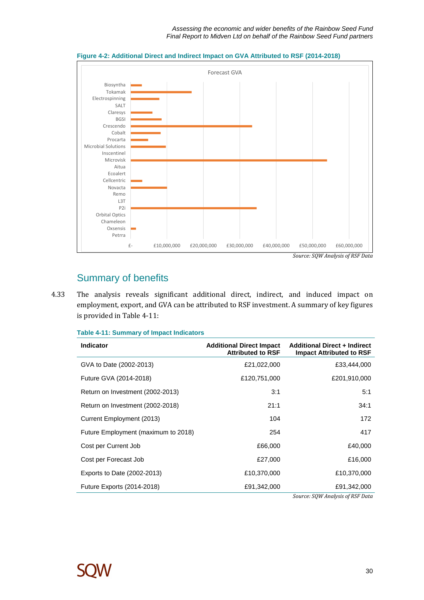

#### **Figure 4-2: Additional Direct and Indirect Impact on GVA Attributed to RSF (2014-2018)**

## Summary of benefits

4.33 The analysis reveals significant additional direct, indirect, and induced impact on employment, export, and GVA can be attributed to RSF investment. A summary of key figures is provided in Table 4-11:

### **Table 4-11: Summary of Impact Indicators**

| <b>Indicator</b>                    | <b>Additional Direct Impact</b><br><b>Attributed to RSF</b> | <b>Additional Direct + Indirect</b><br><b>Impact Attributed to RSF</b> |
|-------------------------------------|-------------------------------------------------------------|------------------------------------------------------------------------|
| GVA to Date (2002-2013)             | £21,022,000                                                 | £33,444,000                                                            |
| Future GVA (2014-2018)              | £120,751,000                                                | £201,910,000                                                           |
| Return on Investment (2002-2013)    | 3:1                                                         | 5:1                                                                    |
| Return on Investment (2002-2018)    | 21:1                                                        | 34:1                                                                   |
| Current Employment (2013)           | 104                                                         | 172                                                                    |
| Future Employment (maximum to 2018) | 254                                                         | 417                                                                    |
| Cost per Current Job                | £66,000                                                     | £40,000                                                                |
| Cost per Forecast Job               | £27,000                                                     | £16,000                                                                |
| Exports to Date (2002-2013)         | £10,370,000                                                 | £10,370,000                                                            |
| Future Exports (2014-2018)          | £91,342,000                                                 | £91,342,000                                                            |



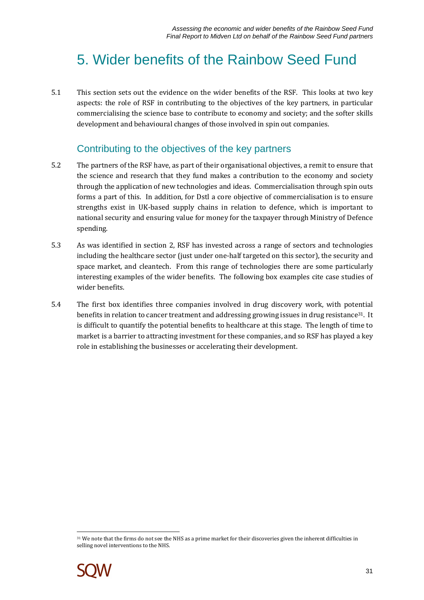## 5. Wider benefits of the Rainbow Seed Fund

5.1 This section sets out the evidence on the wider benefits of the RSF. This looks at two key aspects: the role of RSF in contributing to the objectives of the key partners, in particular commercialising the science base to contribute to economy and society; and the softer skills development and behavioural changes of those involved in spin out companies.

### Contributing to the objectives of the key partners

- 5.2 The partners of the RSF have, as part of their organisational objectives, a remit to ensure that the science and research that they fund makes a contribution to the economy and society through the application of new technologies and ideas. Commercialisation through spin outs forms a part of this. In addition, for Dstl a core objective of commercialisation is to ensure strengths exist in UK-based supply chains in relation to defence, which is important to national security and ensuring value for money for the taxpayer through Ministry of Defence spending.
- 5.3 As was identified in section 2, RSF has invested across a range of sectors and technologies including the healthcare sector (just under one-half targeted on this sector), the security and space market, and cleantech. From this range of technologies there are some particularly interesting examples of the wider benefits. The following box examples cite case studies of wider benefits.
- 5.4 The first box identifies three companies involved in drug discovery work, with potential benefits in relation to cancer treatment and addressing growing issues in drug resistance<sup>31</sup>. It is difficult to quantify the potential benefits to healthcare at this stage. The length of time to market is a barrier to attracting investment for these companies, and so RSF has played a key role in establishing the businesses or accelerating their development.

 $\overline{a}$ <sup>31</sup> We note that the firms do not see the NHS as a prime market for their discoveries given the inherent difficulties in selling novel interventions to the NHS.

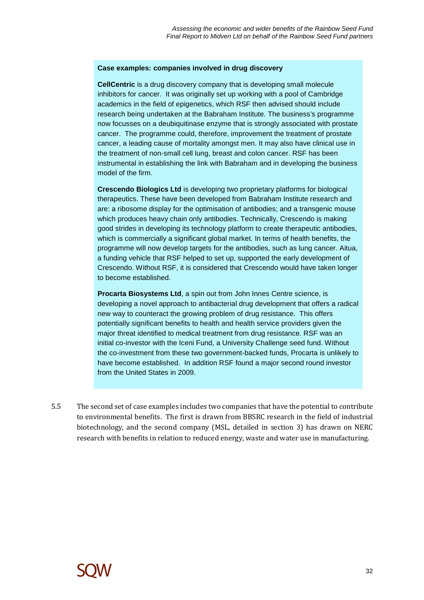### **Case examples: companies involved in drug discovery**

**CellCentric** is a drug discovery company that is developing small molecule inhibitors for cancer. It was originally set up working with a pool of Cambridge academics in the field of epigenetics, which RSF then advised should include research being undertaken at the Babraham Institute. The business's programme now focusses on a deubiquitinase enzyme that is strongly associated with prostate cancer. The programme could, therefore, improvement the treatment of prostate cancer, a leading cause of mortality amongst men. It may also have clinical use in the treatment of non-small cell lung, breast and colon cancer. RSF has been instrumental in establishing the link with Babraham and in developing the business model of the firm.

**Crescendo Biologics Ltd** is developing two proprietary platforms for biological therapeutics. These have been developed from Babraham Institute research and are: a ribosome display for the optimisation of antibodies; and a transgenic mouse which produces heavy chain only antibodies. Technically, Crescendo is making good strides in developing its technology platform to create therapeutic antibodies, which is commercially a significant global market. In terms of health benefits, the programme will now develop targets for the antibodies, such as lung cancer. Aitua, a funding vehicle that RSF helped to set up, supported the early development of Crescendo. Without RSF, it is considered that Crescendo would have taken longer to become established.

**Procarta Biosystems Ltd**, a spin out from John Innes Centre science, is developing a novel approach to antibacterial drug development that offers a radical new way to counteract the growing problem of drug resistance. This offers potentially significant benefits to health and health service providers given the major threat identified to medical treatment from drug resistance. RSF was an initial co-investor with the Iceni Fund, a University Challenge seed fund. Without the co-investment from these two government-backed funds, Procarta is unlikely to have become established. In addition RSF found a major second round investor from the United States in 2009.

5.5 The second set of case examples includes two companies that have the potential to contribute to environmental benefits. The first is drawn from BBSRC research in the field of industrial biotechnology, and the second company (MSL, detailed in section 3) has drawn on NERC research with benefits in relation to reduced energy, waste and water use in manufacturing.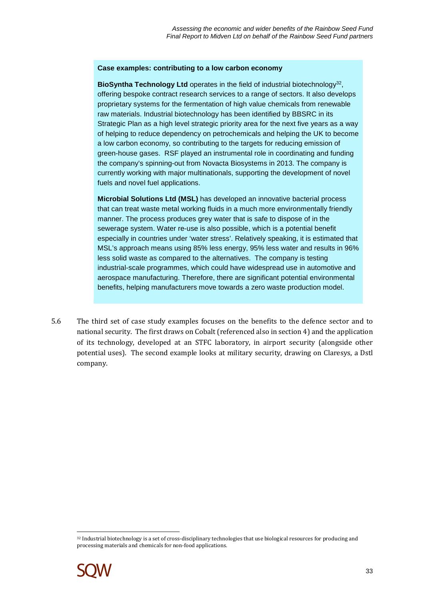### **Case examples: contributing to a low carbon economy**

BioSyntha Technology Ltd operates in the field of industrial biotechnology<sup>32</sup>, offering bespoke contract research services to a range of sectors. It also develops proprietary systems for the fermentation of high value chemicals from renewable raw materials. Industrial biotechnology has been identified by BBSRC in its Strategic Plan as a high level strategic priority area for the next five years as a way of helping to reduce dependency on petrochemicals and helping the UK to become a low carbon economy, so contributing to the targets for reducing emission of green-house gases. RSF played an instrumental role in coordinating and funding the company's spinning-out from Novacta Biosystems in 2013. The company is currently working with major multinationals, supporting the development of novel fuels and novel fuel applications.

**Microbial Solutions Ltd (MSL)** has developed an innovative bacterial process that can treat waste metal working fluids in a much more environmentally friendly manner. The process produces grey water that is safe to dispose of in the sewerage system. Water re-use is also possible, which is a potential benefit especially in countries under 'water stress'. Relatively speaking, it is estimated that MSL's approach means using 85% less energy, 95% less water and results in 96% less solid waste as compared to the alternatives. The company is testing industrial-scale programmes, which could have widespread use in automotive and aerospace manufacturing. Therefore, there are significant potential environmental benefits, helping manufacturers move towards a zero waste production model.

5.6 The third set of case study examples focuses on the benefits to the defence sector and to national security. The first draws on Cobalt (referenced also in section 4) and the application of its technology, developed at an STFC laboratory, in airport security (alongside other potential uses). The second example looks at military security, drawing on Claresys, a Dstl company.

 $\overline{a}$ <sup>32</sup> Industrial biotechnology is a set of cross-disciplinary technologies that use biological resources for producing and processing materials and chemicals for non-food applications.

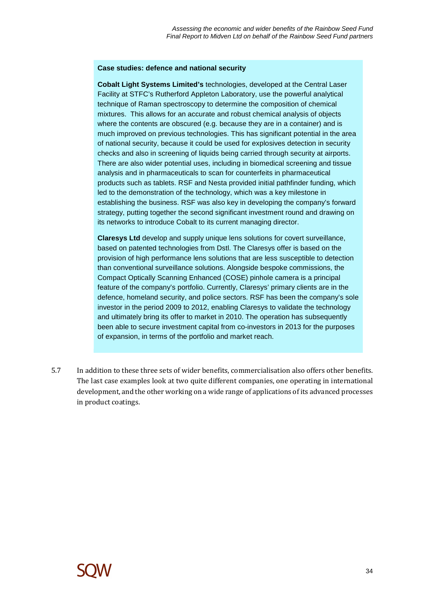### **Case studies: defence and national security**

**Cobalt Light Systems Limited's** technologies, developed at the Central Laser Facility at STFC's Rutherford Appleton Laboratory, use the powerful analytical technique of Raman spectroscopy to determine the composition of chemical mixtures. This allows for an accurate and robust chemical analysis of objects where the contents are obscured (e.g. because they are in a container) and is much improved on previous technologies. This has significant potential in the area of national security, because it could be used for explosives detection in security checks and also in screening of liquids being carried through security at airports. There are also wider potential uses, including in biomedical screening and tissue analysis and in pharmaceuticals to scan for counterfeits in pharmaceutical products such as tablets. RSF and Nesta provided initial pathfinder funding, which led to the demonstration of the technology, which was a key milestone in establishing the business. RSF was also key in developing the company's forward strategy, putting together the second significant investment round and drawing on its networks to introduce Cobalt to its current managing director.

**Claresys Ltd** develop and supply unique lens solutions for covert surveillance, based on patented technologies from Dstl. The Claresys offer is based on the provision of high performance lens solutions that are less susceptible to detection than conventional surveillance solutions. Alongside bespoke commissions, the Compact Optically Scanning Enhanced (COSE) pinhole camera is a principal feature of the company's portfolio. Currently, Claresys' primary clients are in the defence, homeland security, and police sectors. RSF has been the company's sole investor in the period 2009 to 2012, enabling Claresys to validate the technology and ultimately bring its offer to market in 2010. The operation has subsequently been able to secure investment capital from co-investors in 2013 for the purposes of expansion, in terms of the portfolio and market reach.

5.7 In addition to these three sets of wider benefits, commercialisation also offers other benefits. The last case examples look at two quite different companies, one operating in international development, and the other working on a wide range of applications of its advanced processes in product coatings.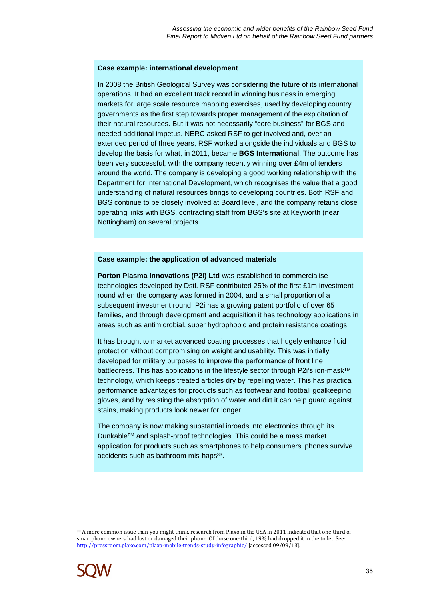#### **Case example: international development**

In 2008 the British Geological Survey was considering the future of its international operations. It had an excellent track record in winning business in emerging markets for large scale resource mapping exercises, used by developing country governments as the first step towards proper management of the exploitation of their natural resources. But it was not necessarily "core business" for BGS and needed additional impetus. NERC asked RSF to get involved and, over an extended period of three years, RSF worked alongside the individuals and BGS to develop the basis for what, in 2011, became **BGS International**. The outcome has been very successful, with the company recently winning over £4m of tenders around the world. The company is developing a good working relationship with the Department for International Development, which recognises the value that a good understanding of natural resources brings to developing countries. Both RSF and BGS continue to be closely involved at Board level, and the company retains close operating links with BGS, contracting staff from BGS's site at Keyworth (near Nottingham) on several projects.

#### **Case example: the application of advanced materials**

**Porton Plasma Innovations (P2i) Ltd** was established to commercialise technologies developed by Dstl. RSF contributed 25% of the first £1m investment round when the company was formed in 2004, and a small proportion of a subsequent investment round. P2i has a growing patent portfolio of over 65 families, and through development and acquisition it has technology applications in areas such as antimicrobial, super hydrophobic and protein resistance coatings.

It has brought to market advanced coating processes that hugely enhance fluid protection without compromising on weight and usability. This was initially developed for military purposes to improve the performance of front line battledress. This has applications in the lifestyle sector through P2i's ion-mask™ technology, which keeps treated articles dry by repelling water. This has practical performance advantages for products such as footwear and football goalkeeping gloves, and by resisting the absorption of water and dirt it can help guard against stains, making products look newer for longer.

The company is now making substantial inroads into electronics through its DunkableTM and splash-proof technologies. This could be a mass market application for products such as smartphones to help consumers' phones survive accidents such as bathroom mis-haps<sup>33</sup>.

 $\overline{a}$ 33 A more common issue than you might think, research from Plaxo in the USA in 2011 indicated that one-third of smartphone owners had lost or damaged their phone. Of those one-third, 19% had dropped it in the toilet. See: http://pressroom.plaxo.com/plaxo-mobile-trends-study-infographic/ [accessed 09/09/13].

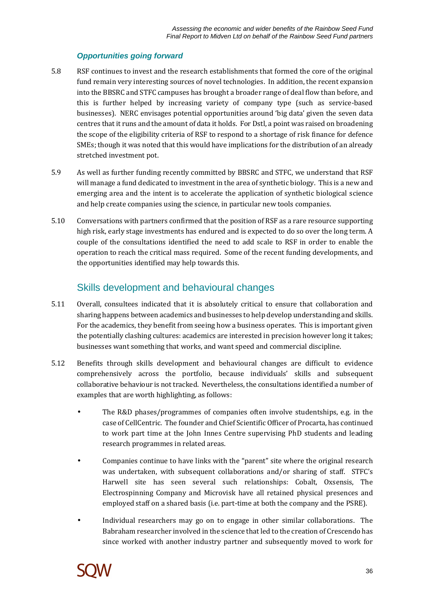### **Opportunities going forward**

- 5.8 RSF continues to invest and the research establishments that formed the core of the original fund remain very interesting sources of novel technologies. In addition, the recent expansion into the BBSRC and STFC campuses has brought a broader range of deal flow than before, and this is further helped by increasing variety of company type (such as service-based businesses). NERC envisages potential opportunities around 'big data' given the seven data centres that it runs and the amount of data it holds. For Dstl, a point was raised on broadening the scope of the eligibility criteria of RSF to respond to a shortage of risk finance for defence SMEs; though it was noted that this would have implications for the distribution of an already stretched investment pot.
- 5.9 As well as further funding recently committed by BBSRC and STFC, we understand that RSF will manage a fund dedicated to investment in the area of synthetic biology. This is a new and emerging area and the intent is to accelerate the application of synthetic biological science and help create companies using the science, in particular new tools companies.
- 5.10 Conversations with partners confirmed that the position of RSF as a rare resource supporting high risk, early stage investments has endured and is expected to do so over the long term. A couple of the consultations identified the need to add scale to RSF in order to enable the operation to reach the critical mass required. Some of the recent funding developments, and the opportunities identified may help towards this.

## Skills development and behavioural changes

- 5.11 Overall, consultees indicated that it is absolutely critical to ensure that collaboration and sharing happens between academics and businesses to help develop understanding and skills. For the academics, they benefit from seeing how a business operates. This is important given the potentially clashing cultures: academics are interested in precision however long it takes; businesses want something that works, and want speed and commercial discipline.
- 5.12 Benefits through skills development and behavioural changes are difficult to evidence comprehensively across the portfolio, because individuals' skills and subsequent collaborative behaviour is not tracked. Nevertheless, the consultations identified a number of examples that are worth highlighting, as follows:
	- The R&D phases/programmes of companies often involve studentships, e.g. in the case of CellCentric. The founder and Chief Scientific Officer of Procarta, has continued to work part time at the John Innes Centre supervising PhD students and leading research programmes in related areas.
	- Companies continue to have links with the "parent" site where the original research was undertaken, with subsequent collaborations and/or sharing of staff. STFC's Harwell site has seen several such relationships: Cobalt, Oxsensis, The Electrospinning Company and Microvisk have all retained physical presences and employed staff on a shared basis (i.e. part-time at both the company and the PSRE).
	- Individual researchers may go on to engage in other similar collaborations. The Babraham researcher involved in the science that led to the creation of Crescendo has since worked with another industry partner and subsequently moved to work for

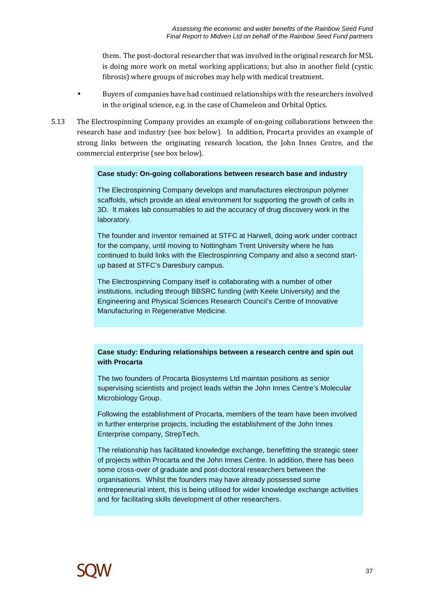them. The post-doctoral researcher that was involved in the original research for MSL is doing more work on metal working applications; but also in another field (cystic fibrosis) where groups of microbes may help with medical treatment.

- Buyers of companies have had continued relationships with the researchers involved in the original science, e.g. in the case of Chameleon and Orbital Optics.
- 5.13 The Electrospinning Company provides an example of on-going collaborations between the research base and industry (see box below). In addition, Procarta provides an example of strong links between the originating research location, the John Innes Centre, and the commercial enterprise (see box below).

### **Case study: On-going collaborations between research base and industry**

The Electrospinning Company develops and manufactures electrospun polymer scaffolds, which provide an ideal environment for supporting the growth of cells in 3D. It makes lab consumables to aid the accuracy of drug discovery work in the laboratory.

The founder and inventor remained at STFC at Harwell, doing work under contract for the company, until moving to Nottingham Trent University where he has continued to build links with the Electrospinning Company and also a second startup based at STFC's Daresbury campus.

The Electrospinning Company itself is collaborating with a number of other institutions, including through BBSRC funding (with Keele University) and the Engineering and Physical Sciences Research Council's Centre of Innovative Manufacturing in Regenerative Medicine.

### **Case study: Enduring relationships between a research centre and spin out with Procarta**

The two founders of Procarta Biosystems Ltd maintain positions as senior supervising scientists and project leads within the John Innes Centre's Molecular Microbiology Group.

Following the establishment of Procarta, members of the team have been involved in further enterprise projects, including the establishment of the John Innes Enterprise company, StrepTech.

The relationship has facilitated knowledge exchange, benefitting the strategic steer of projects within Procarta and the John Innes Centre. In addition, there has been some cross-over of graduate and post-doctoral researchers between the organisations. Whilst the founders may have already possessed some entrepreneurial intent, this is being utilised for wider knowledge exchange activities and for facilitating skills development of other researchers.

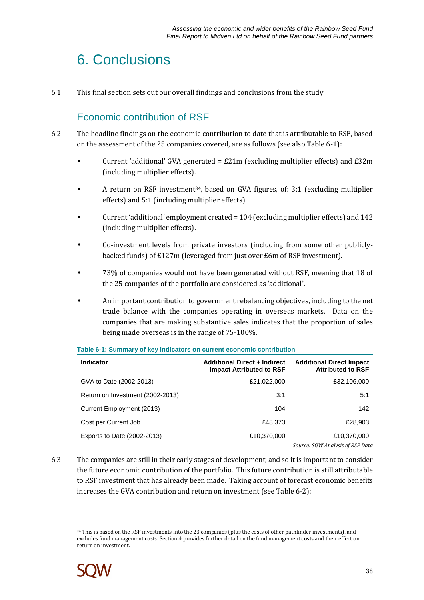## 6. Conclusions

6.1 This final section sets out our overall findings and conclusions from the study.

## Economic contribution of RSF

- 6.2 The headline findings on the economic contribution to date that is attributable to RSF, based on the assessment of the 25 companies covered, are as follows (see also Table 6-1):
	- Current 'additional' GVA generated =  $£21m$  (excluding multiplier effects) and  $£32m$ (including multiplier effects).
	- A return on RSF investment34, based on GVA figures, of: 3:1 (excluding multiplier effects) and 5:1 (including multiplier effects).
	- Current 'additional' employment created = 104 (excluding multiplier effects) and 142 (including multiplier effects).
	- Co-investment levels from private investors (including from some other publiclybacked funds) of £127m (leveraged from just over £6m of RSF investment).
	- 73% of companies would not have been generated without RSF, meaning that 18 of the 25 companies of the portfolio are considered as 'additional'.
	- An important contribution to government rebalancing objectives, including to the net trade balance with the companies operating in overseas markets. Data on the companies that are making substantive sales indicates that the proportion of sales being made overseas is in the range of 75-100%.

| <b>Indicator</b>                 | <b>Additional Direct + Indirect</b><br><b>Impact Attributed to RSF</b> | <b>Additional Direct Impact</b><br><b>Attributed to RSF</b> |
|----------------------------------|------------------------------------------------------------------------|-------------------------------------------------------------|
| GVA to Date (2002-2013)          | £21,022,000                                                            | £32,106,000                                                 |
| Return on Investment (2002-2013) | 3:1                                                                    | 5:1                                                         |
| Current Employment (2013)        | 104                                                                    | 142                                                         |
| Cost per Current Job             | £48.373                                                                | £28,903                                                     |
| Exports to Date (2002-2013)      | £10,370,000                                                            | £10,370,000                                                 |
|                                  |                                                                        | Source: SOW Analysis of RSF Data                            |

### **Table 6-1: Summary of key indicators on current economic contribution**

6.3 The companies are still in their early stages of development, and so it is important to consider the future economic contribution of the portfolio. This future contribution is still attributable to RSF investment that has already been made. Taking account of forecast economic benefits increases the GVA contribution and return on investment (see Table 6-2):

 $\overline{a}$ <sup>34</sup> This is based on the RSF investments into the 23 companies (plus the costs of other pathfinder investments), and excludes fund management costs. Section 4 provides further detail on the fund management costs and their effect on return on investment.

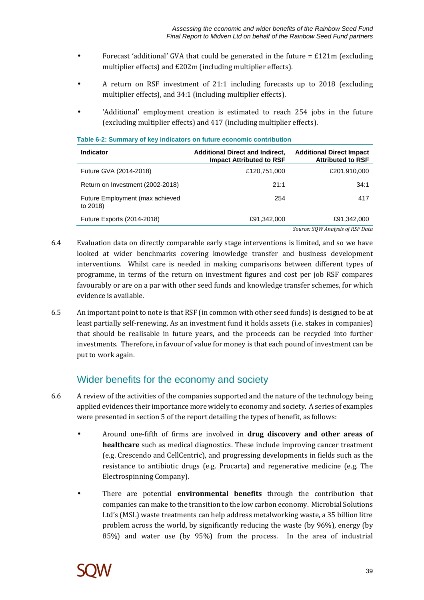- Forecast 'additional' GVA that could be generated in the future  $= \pm 121$ m (excluding multiplier effects) and £202m (including multiplier effects).
- A return on RSF investment of 21:1 including forecasts up to 2018 (excluding multiplier effects), and 34:1 (including multiplier effects).
- 'Additional' employment creation is estimated to reach 254 jobs in the future (excluding multiplier effects) and 417 (including multiplier effects).

| <b>Indicator</b>                            | <b>Additional Direct and Indirect,</b><br><b>Impact Attributed to RSF</b> | <b>Additional Direct Impact</b><br><b>Attributed to RSF</b> |
|---------------------------------------------|---------------------------------------------------------------------------|-------------------------------------------------------------|
| Future GVA (2014-2018)                      | £120,751,000                                                              | £201,910,000                                                |
| Return on Investment (2002-2018)            | 21:1                                                                      | 34:1                                                        |
| Future Employment (max achieved<br>to 2018) | 254                                                                       | 417                                                         |
| Future Exports (2014-2018)                  | £91,342,000                                                               | £91,342,000                                                 |
|                                             |                                                                           | Source: SOW Analysis of RSF Data                            |

### **Table 6-2: Summary of key indicators on future economic contribution**

- 6.4 Evaluation data on directly comparable early stage interventions is limited, and so we have looked at wider benchmarks covering knowledge transfer and business development interventions. Whilst care is needed in making comparisons between different types of programme, in terms of the return on investment figures and cost per job RSF compares favourably or are on a par with other seed funds and knowledge transfer schemes, for which evidence is available.
- 6.5 An important point to note is that RSF (in common with other seed funds) is designed to be at least partially self-renewing. As an investment fund it holds assets (i.e. stakes in companies) that should be realisable in future years, and the proceeds can be recycled into further investments. Therefore, in favour of value for money is that each pound of investment can be put to work again.

## Wider benefits for the economy and society

- 6.6 A review of the activities of the companies supported and the nature of the technology being applied evidences their importance more widely to economy and society. A series of examples were presented in section 5 of the report detailing the types of benefit, as follows:
	- Around one-fifth of firms are involved in **drug discovery and other areas of healthcare** such as medical diagnostics. These include improving cancer treatment (e.g. Crescendo and CellCentric), and progressing developments in fields such as the resistance to antibiotic drugs (e.g. Procarta) and regenerative medicine (e.g. The Electrospinning Company).
	- There are potential **environmental benefits** through the contribution that companies can make to the transition to the low carbon economy. Microbial Solutions Ltd's (MSL) waste treatments can help address metalworking waste, a 35 billion litre problem across the world, by significantly reducing the waste (by 96%), energy (by 85%) and water use (by 95%) from the process. In the area of industrial

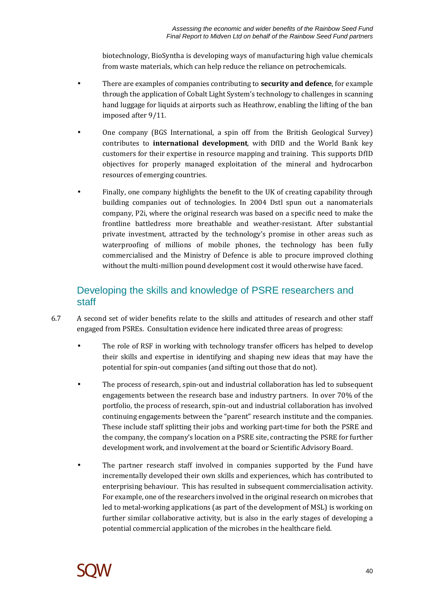biotechnology, BioSyntha is developing ways of manufacturing high value chemicals from waste materials, which can help reduce the reliance on petrochemicals.

- There are examples of companies contributing to **security and defence**, for example through the application of Cobalt Light System's technology to challenges in scanning hand luggage for liquids at airports such as Heathrow, enabling the lifting of the ban imposed after 9/11.
- One company (BGS International, a spin off from the British Geological Survey) contributes to **international development**, with DfID and the World Bank key customers for their expertise in resource mapping and training. This supports DfID objectives for properly managed exploitation of the mineral and hydrocarbon resources of emerging countries.
- Finally, one company highlights the benefit to the UK of creating capability through building companies out of technologies. In 2004 Dstl spun out a nanomaterials company, P2i, where the original research was based on a specific need to make the frontline battledress more breathable and weather-resistant. After substantial private investment, attracted by the technology's promise in other areas such as waterproofing of millions of mobile phones, the technology has been fully commercialised and the Ministry of Defence is able to procure improved clothing without the multi-million pound development cost it would otherwise have faced.

## Developing the skills and knowledge of PSRE researchers and staff

- 6.7 A second set of wider benefits relate to the skills and attitudes of research and other staff engaged from PSREs. Consultation evidence here indicated three areas of progress:
	- The role of RSF in working with technology transfer officers has helped to develop their skills and expertise in identifying and shaping new ideas that may have the potential for spin-out companies (and sifting out those that do not).
	- The process of research, spin-out and industrial collaboration has led to subsequent engagements between the research base and industry partners. In over 70% of the portfolio, the process of research, spin-out and industrial collaboration has involved continuing engagements between the "parent" research institute and the companies. These include staff splitting their jobs and working part-time for both the PSRE and the company, the company's location on a PSRE site, contracting the PSRE for further development work, and involvement at the board or Scientific Advisory Board.
	- The partner research staff involved in companies supported by the Fund have incrementally developed their own skills and experiences, which has contributed to enterprising behaviour. This has resulted in subsequent commercialisation activity. For example, one of the researchers involved in the original research on microbes that led to metal-working applications (as part of the development of MSL) is working on further similar collaborative activity, but is also in the early stages of developing a potential commercial application of the microbes in the healthcare field.

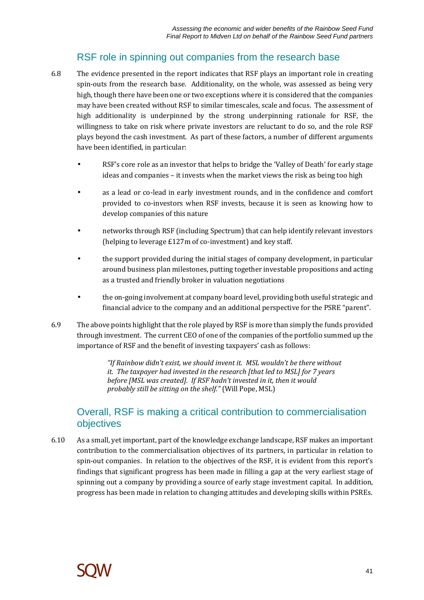### RSF role in spinning out companies from the research base

- 6.8 The evidence presented in the report indicates that RSF plays an important role in creating spin-outs from the research base. Additionality, on the whole, was assessed as being very high, though there have been one or two exceptions where it is considered that the companies may have been created without RSF to similar timescales, scale and focus. The assessment of high additionality is underpinned by the strong underpinning rationale for RSF, the willingness to take on risk where private investors are reluctant to do so, and the role RSF plays beyond the cash investment. As part of these factors, a number of different arguments have been identified, in particular:
	- RSF's core role as an investor that helps to bridge the 'Valley of Death' for early stage ideas and companies – it invests when the market views the risk as being too high
	- as a lead or co-lead in early investment rounds, and in the confidence and comfort provided to co-investors when RSF invests, because it is seen as knowing how to develop companies of this nature
	- networks through RSF (including Spectrum) that can help identify relevant investors (helping to leverage £127m of co-investment) and key staff.
	- the support provided during the initial stages of company development, in particular around business plan milestones, putting together investable propositions and acting as a trusted and friendly broker in valuation negotiations
	- the on-going involvement at company board level, providing both useful strategic and financial advice to the company and an additional perspective for the PSRE "parent".
- 6.9 The above points highlight that the role played by RSF is more than simply the funds provided through investment. The current CEO of one of the companies of the portfolio summed up the importance of RSF and the benefit of investing taxpayers' cash as follows:

*"If Rainbow didn't exist, we should invent it. MSL wouldn't be there without it. The taxpayer had invested in the research [that led to MSL] for 7 years before [MSL was created]. If RSF hadn't invested in it, then it would probably still be sitting on the shelf."* (Will Pope, MSL)

### Overall, RSF is making a critical contribution to commercialisation objectives

6.10 As a small, yet important, part of the knowledge exchange landscape, RSF makes an important contribution to the commercialisation objectives of its partners, in particular in relation to spin-out companies. In relation to the objectives of the RSF, it is evident from this report's findings that significant progress has been made in filling a gap at the very earliest stage of spinning out a company by providing a source of early stage investment capital. In addition, progress has been made in relation to changing attitudes and developing skills within PSREs.

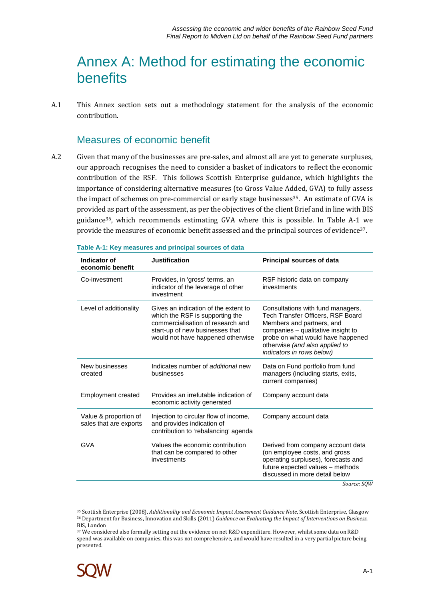## Annex A: Method for estimating the economic benefits

A.1 This Annex section sets out a methodology statement for the analysis of the economic contribution.

### Measures of economic benefit

A.2 Given that many of the businesses are pre-sales, and almost all are yet to generate surpluses, our approach recognises the need to consider a basket of indicators to reflect the economic contribution of the RSF. This follows Scottish Enterprise guidance, which highlights the importance of considering alternative measures (to Gross Value Added, GVA) to fully assess the impact of schemes on pre-commercial or early stage businesses<sup>35</sup>. An estimate of GVA is provided as part of the assessment, as per the objectives of the client Brief and in line with BIS guidance36, which recommends estimating GVA where this is possible. In Table A-1 we provide the measures of economic benefit assessed and the principal sources of evidence<sup>37</sup>.

| Indicator of<br>economic benefit                | <b>Justification</b>                                                                                                                                                                 | <b>Principal sources of data</b>                                                                                                                                                                                                              |
|-------------------------------------------------|--------------------------------------------------------------------------------------------------------------------------------------------------------------------------------------|-----------------------------------------------------------------------------------------------------------------------------------------------------------------------------------------------------------------------------------------------|
| Co-investment                                   | Provides, in 'gross' terms, an<br>indicator of the leverage of other<br>investment                                                                                                   | RSF historic data on company<br>investments                                                                                                                                                                                                   |
| Level of additionality                          | Gives an indication of the extent to<br>which the RSF is supporting the<br>commercialisation of research and<br>start-up of new businesses that<br>would not have happened otherwise | Consultations with fund managers,<br>Tech Transfer Officers, RSF Board<br>Members and partners, and<br>companies - qualitative insight to<br>probe on what would have happened<br>otherwise (and also applied to<br>indicators in rows below) |
| New businesses<br>created                       | Indicates number of additional new<br>businesses                                                                                                                                     | Data on Fund portfolio from fund<br>managers (including starts, exits,<br>current companies)                                                                                                                                                  |
| <b>Employment created</b>                       | Provides an irrefutable indication of<br>economic activity generated                                                                                                                 | Company account data                                                                                                                                                                                                                          |
| Value & proportion of<br>sales that are exports | Injection to circular flow of income,<br>and provides indication of<br>contribution to 'rebalancing' agenda                                                                          | Company account data                                                                                                                                                                                                                          |
| <b>GVA</b>                                      | Values the economic contribution<br>that can be compared to other<br>investments                                                                                                     | Derived from company account data<br>(on employee costs, and gross<br>operating surpluses), forecasts and<br>future expected values - methods<br>discussed in more detail below<br>$C_{\alpha_1 \alpha_2 \alpha_3}$ $C_{\alpha_1 \alpha_2}$   |

| Table A-1: Key measures and principal sources of data |  |  |  |
|-------------------------------------------------------|--|--|--|

<sup>37</sup> We considered also formally setting out the evidence on net R&D expenditure. However, whilst some data on R&D spend was available on companies, this was not comprehensive, and would have resulted in a very partial picture being presented.



 $\overline{a}$ 

*Source: SQW* 

<sup>35</sup> Scottish Enterprise (2008), *Additionality and Economic Impact Assessment Guidance Note*, Scottish Enterprise, Glasgow <sup>36</sup> Department for Business, Innovation and Skills (2011) *Guidance on Evaluating the Impact of Interventions on Business*, BIS, London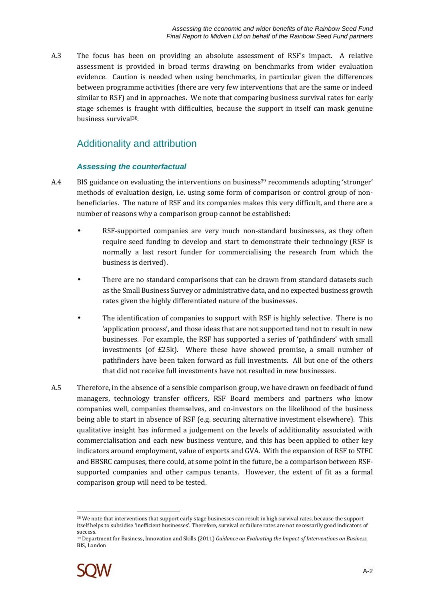A.3 The focus has been on providing an absolute assessment of RSF's impact. A relative assessment is provided in broad terms drawing on benchmarks from wider evaluation evidence. Caution is needed when using benchmarks, in particular given the differences between programme activities (there are very few interventions that are the same or indeed similar to RSF) and in approaches. We note that comparing business survival rates for early stage schemes is fraught with difficulties, because the support in itself can mask genuine business survival38.

## Additionality and attribution

### **Assessing the counterfactual**

- A.4 BIS guidance on evaluating the interventions on business<sup>39</sup> recommends adopting 'stronger' methods of evaluation design, i.e. using some form of comparison or control group of nonbeneficiaries. The nature of RSF and its companies makes this very difficult, and there are a number of reasons why a comparison group cannot be established:
	- RSF-supported companies are very much non-standard businesses, as they often require seed funding to develop and start to demonstrate their technology (RSF is normally a last resort funder for commercialising the research from which the business is derived).
	- There are no standard comparisons that can be drawn from standard datasets such as the Small Business Survey or administrative data, and no expected business growth rates given the highly differentiated nature of the businesses.
	- The identification of companies to support with RSF is highly selective. There is no 'application process', and those ideas that are not supported tend not to result in new businesses. For example, the RSF has supported a series of 'pathfinders' with small investments (of £25k). Where these have showed promise, a small number of pathfinders have been taken forward as full investments. All but one of the others that did not receive full investments have not resulted in new businesses.
- A.5 Therefore, in the absence of a sensible comparison group, we have drawn on feedback of fund managers, technology transfer officers, RSF Board members and partners who know companies well, companies themselves, and co-investors on the likelihood of the business being able to start in absence of RSF (e.g. securing alternative investment elsewhere). This qualitative insight has informed a judgement on the levels of additionality associated with commercialisation and each new business venture, and this has been applied to other key indicators around employment, value of exports and GVA. With the expansion of RSF to STFC and BBSRC campuses, there could, at some point in the future, be a comparison between RSFsupported companies and other campus tenants. However, the extent of fit as a formal comparison group will need to be tested.

<sup>39</sup> Department for Business, Innovation and Skills (2011) *Guidance on Evaluating the Impact of Interventions on Business*, BIS, London



 $\overline{a}$ <sup>38</sup> We note that interventions that support early stage businesses can result in high survival rates, because the support itself helps to subsidise 'inefficient businesses'. Therefore, survival or failure rates are not necessarily good indicators of success.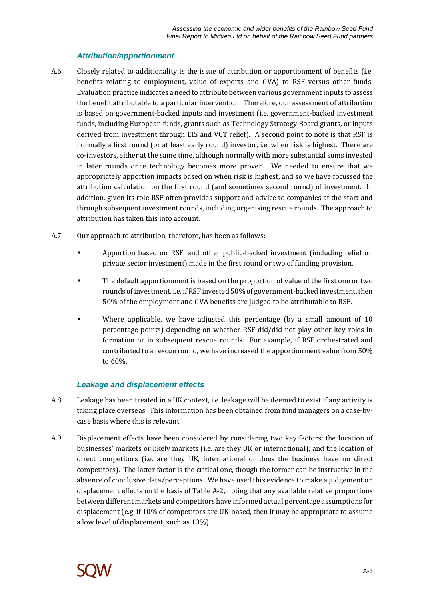### **Attribution/apportionment**

- A.6 Closely related to additionality is the issue of attribution or apportionment of benefits (i.e. benefits relating to employment, value of exports and GVA) to RSF versus other funds. Evaluation practice indicates a need to attribute between various government inputs to assess the benefit attributable to a particular intervention. Therefore, our assessment of attribution is based on government-backed inputs and investment (i.e. government-backed investment funds, including European funds, grants such as Technology Strategy Board grants, or inputs derived from investment through EIS and VCT relief). A second point to note is that RSF is normally a first round (or at least early round) investor, i.e. when risk is highest. There are co-investors, either at the same time, although normally with more substantial sums invested in later rounds once technology becomes more proven. We needed to ensure that we appropriately apportion impacts based on when risk is highest, and so we have focussed the attribution calculation on the first round (and sometimes second round) of investment. In addition, given its role RSF often provides support and advice to companies at the start and through subsequent investment rounds, including organising rescue rounds. The approach to attribution has taken this into account.
- A.7 Our approach to attribution, therefore, has been as follows:
	- Apportion based on RSF, and other public-backed investment (including relief on private sector investment) made in the first round or two of funding provision.
	- The default apportionment is based on the proportion of value of the first one or two rounds of investment, i.e. if RSF invested 50% of government-backed investment, then 50% of the employment and GVA benefits are judged to be attributable to RSF.
	- Where applicable, we have adjusted this percentage (by a small amount of 10 percentage points) depending on whether RSF did/did not play other key roles in formation or in subsequent rescue rounds. For example, if RSF orchestrated and contributed to a rescue round, we have increased the apportionment value from 50% to 60%.

### **Leakage and displacement effects**

- A.8 Leakage has been treated in a UK context, i.e. leakage will be deemed to exist if any activity is taking place overseas. This information has been obtained from fund managers on a case-bycase basis where this is relevant.
- A.9 Displacement effects have been considered by considering two key factors: the location of businesses' markets or likely markets (i.e. are they UK or international); and the location of direct competitors (i.e. are they UK, international or does the business have no direct competitors). The latter factor is the critical one, though the former can be instructive in the absence of conclusive data/perceptions. We have used this evidence to make a judgement on displacement effects on the basis of Table A-2, noting that any available relative proportions between different markets and competitors have informed actual percentage assumptions for displacement (e.g. if 10% of competitors are UK-based, then it may be appropriate to assume a low level of displacement, such as 10%).

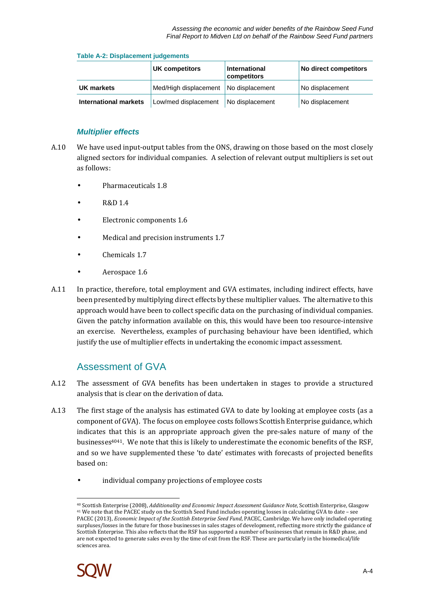### **Table A-2: Displacement judgements**

|                              | UK competitors                          | International<br>competitors | No direct competitors |
|------------------------------|-----------------------------------------|------------------------------|-----------------------|
| UK markets                   | Med/High displacement   No displacement |                              | No displacement       |
| <b>International markets</b> | Low/med displacement                    | No displacement              | No displacement       |

### **Multiplier effects**

- A.10 We have used input-output tables from the ONS, drawing on those based on the most closely aligned sectors for individual companies. A selection of relevant output multipliers is set out as follows:
	- Pharmaceuticals 1.8
	- R&D 1.4
	- Electronic components 1.6
	- Medical and precision instruments 1.7
	- Chemicals 1.7
	- Aerospace 1.6
- A.11 In practice, therefore, total employment and GVA estimates, including indirect effects, have been presented by multiplying direct effects by these multiplier values. The alternative to this approach would have been to collect specific data on the purchasing of individual companies. Given the patchy information available on this, this would have been too resource-intensive an exercise. Nevertheless, examples of purchasing behaviour have been identified, which justify the use of multiplier effects in undertaking the economic impact assessment.

### Assessment of GVA

- A.12 The assessment of GVA benefits has been undertaken in stages to provide a structured analysis that is clear on the derivation of data.
- A.13 The first stage of the analysis has estimated GVA to date by looking at employee costs (as a component of GVA). The focus on employee costs follows Scottish Enterprise guidance, which indicates that this is an appropriate approach given the pre-sales nature of many of the businesses4041. We note that this is likely to underestimate the economic benefits of the RSF, and so we have supplemented these 'to date' estimates with forecasts of projected benefits based on:
	- individual company projections of employee costs

<sup>40</sup> Scottish Enterprise (2008), *Additionality and Economic Impact Assessment Guidance Note*, Scottish Enterprise, Glasgow <sup>41</sup> We note that the PACEC study on the Scottish Seed Fund includes operating losses in calculating GVA to date – see PACEC (2013), *Economic Impact of the Scottish Enterprise Seed Fund*, PACEC, Cambridge. We have only included operating surpluses/losses in the future for those businesses in sales stages of development, reflecting more strictly the guidance of Scottish Enterprise. This also reflects that the RSF has supported a number of businesses that remain in R&D phase, and are not expected to generate sales even by the time of exit from the RSF. These are particularly in the biomedical/life sciences area.



 $\overline{a}$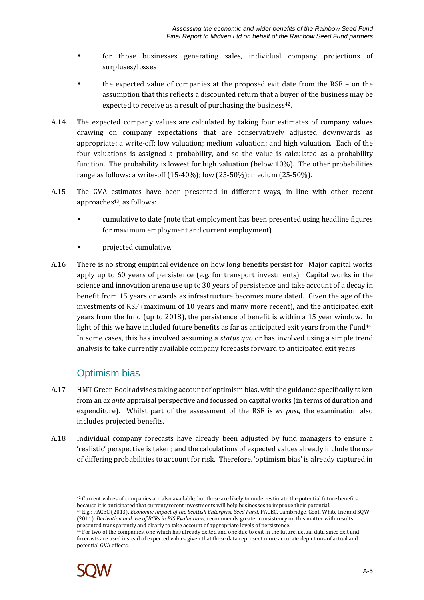- for those businesses generating sales, individual company projections of surpluses/losses
- the expected value of companies at the proposed exit date from the RSF on the assumption that this reflects a discounted return that a buyer of the business may be expected to receive as a result of purchasing the business<sup>42</sup>.
- A.14 The expected company values are calculated by taking four estimates of company values drawing on company expectations that are conservatively adjusted downwards as appropriate: a write-off; low valuation; medium valuation; and high valuation. Each of the four valuations is assigned a probability, and so the value is calculated as a probability function. The probability is lowest for high valuation (below 10%). The other probabilities range as follows: a write-off (15-40%); low (25-50%); medium (25-50%).
- A.15 The GVA estimates have been presented in different ways, in line with other recent approaches43, as follows:
	- cumulative to date (note that employment has been presented using headline figures for maximum employment and current employment)
	- projected cumulative.
- A.16 There is no strong empirical evidence on how long benefits persist for. Major capital works apply up to 60 years of persistence (e.g. for transport investments). Capital works in the science and innovation arena use up to 30 years of persistence and take account of a decay in benefit from 15 years onwards as infrastructure becomes more dated. Given the age of the investments of RSF (maximum of 10 years and many more recent), and the anticipated exit years from the fund (up to 2018), the persistence of benefit is within a 15 year window. In light of this we have included future benefits as far as anticipated exit years from the Fund44. In some cases, this has involved assuming a *status quo* or has involved using a simple trend analysis to take currently available company forecasts forward to anticipated exit years.

## Optimism bias

- A.17 HMT Green Book advises taking account of optimism bias, with the guidance specifically taken from an *ex ante* appraisal perspective and focussed on capital works (in terms of duration and expenditure). Whilst part of the assessment of the RSF is *ex post*, the examination also includes projected benefits.
- A.18 Individual company forecasts have already been adjusted by fund managers to ensure a 'realistic' perspective is taken; and the calculations of expected values already include the use of differing probabilities to account for risk. Therefore, 'optimism bias' is already captured in

<sup>44</sup> For two of the companies, one which has already exited and one due to exit in the future, actual data since exit and forecasts are used instead of expected values given that these data represent more accurate depictions of actual and potential GVA effects.



 $\overline{a}$ 

 $42$  Current values of companies are also available, but these are likely to under-estimate the potential future benefits, because it is anticipated that current/recent investments will help businesses to improve their potential. <sup>43</sup> E.g.: PACEC (2013), *Economic Impact of the Scottish Enterprise Seed Fund*, PACEC, Cambridge. Geoff White Inc and SQW

<sup>(2011),</sup> *Derivation and use of BCRs in BIS Evaluations*, recommends greater consistency on this matter with results presented transparently and clearly to take account of appropriate levels of persistence.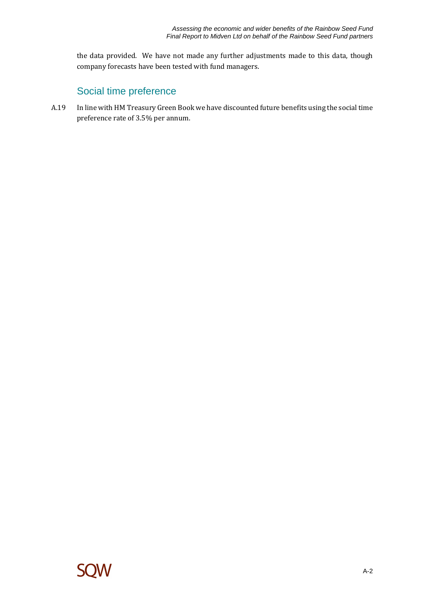the data provided. We have not made any further adjustments made to this data, though company forecasts have been tested with fund managers.

## Social time preference

A.19 In line with HM Treasury Green Book we have discounted future benefits using the social time preference rate of 3.5% per annum.

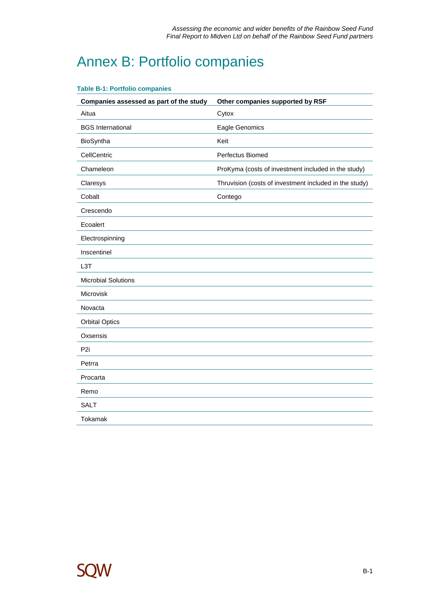## Annex B: Portfolio companies

| Companies assessed as part of the study | Other companies supported by RSF                       |
|-----------------------------------------|--------------------------------------------------------|
| Aitua                                   | Cytox                                                  |
| <b>BGS</b> International                | Eagle Genomics                                         |
| BioSyntha                               | Keit                                                   |
| CellCentric                             | Perfectus Biomed                                       |
| Chameleon                               | ProKyma (costs of investment included in the study)    |
| Claresys                                | Thruvision (costs of investment included in the study) |
| Cobalt                                  | Contego                                                |
| Crescendo                               |                                                        |
| Ecoalert                                |                                                        |
| Electrospinning                         |                                                        |
| Inscentinel                             |                                                        |
| L <sub>3</sub> T                        |                                                        |
| <b>Microbial Solutions</b>              |                                                        |
| Microvisk                               |                                                        |
| Novacta                                 |                                                        |
| <b>Orbital Optics</b>                   |                                                        |
| Oxsensis                                |                                                        |
| P <sub>2i</sub>                         |                                                        |
| Petrra                                  |                                                        |
| Procarta                                |                                                        |
| Remo                                    |                                                        |
| <b>SALT</b>                             |                                                        |
| Tokamak                                 |                                                        |

### **Table B-1: Portfolio companies**

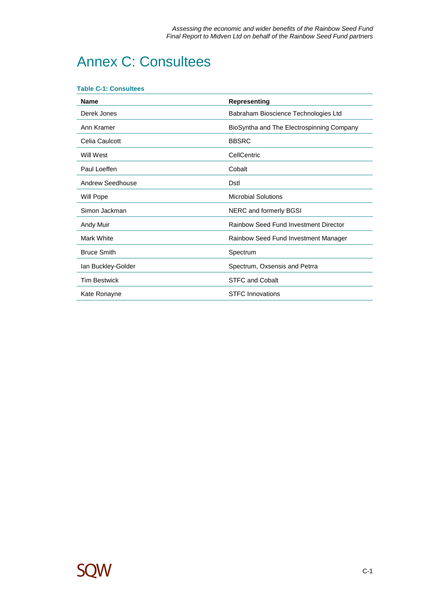## Annex C: Consultees

#### **Table C-1: Consultees**

| <b>Name</b>         | <b>Representing</b>                       |
|---------------------|-------------------------------------------|
| Derek Jones         | Babraham Bioscience Technologies Ltd      |
| Ann Kramer          | BioSyntha and The Electrospinning Company |
| Celia Caulcott      | <b>BBSRC</b>                              |
| Will West           | CellCentric                               |
| Paul Loeffen        | Cobalt                                    |
| Andrew Seedhouse    | Dstl                                      |
| Will Pope           | <b>Microbial Solutions</b>                |
| Simon Jackman       | NERC and formerly BGSI                    |
| Andy Muir           | Rainbow Seed Fund Investment Director     |
| Mark White          | Rainbow Seed Fund Investment Manager      |
| <b>Bruce Smith</b>  | Spectrum                                  |
| lan Buckley-Golder  | Spectrum, Oxsensis and Petrra             |
| <b>Tim Bestwick</b> | <b>STFC and Cobalt</b>                    |
| Kate Ronayne        | <b>STFC Innovations</b>                   |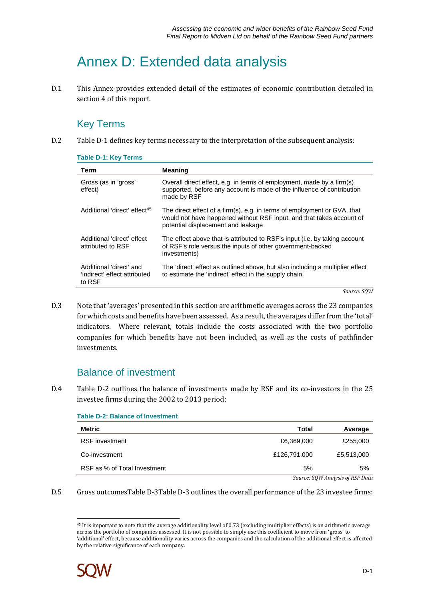## Annex D: Extended data analysis

D.1 This Annex provides extended detail of the estimates of economic contribution detailed in section 4 of this report.

## Key Terms

D.2 Table D-1 defines key terms necessary to the interpretation of the subsequent analysis:

| Term                                                              | <b>Meaning</b>                                                                                                                                                                         |
|-------------------------------------------------------------------|----------------------------------------------------------------------------------------------------------------------------------------------------------------------------------------|
| Gross (as in 'gross'<br>effect)                                   | Overall direct effect, e.g. in terms of employment, made by a firm(s)<br>supported, before any account is made of the influence of contribution<br>made by RSF                         |
| Additional 'direct' effect <sup>45</sup>                          | The direct effect of a firm(s), e.g. in terms of employment or GVA, that<br>would not have happened without RSF input, and that takes account of<br>potential displacement and leakage |
| Additional 'direct' effect<br>attributed to RSF                   | The effect above that is attributed to RSF's input (i.e. by taking account<br>of RSF's role versus the inputs of other government-backed<br>investments)                               |
| Additional 'direct' and<br>'indirect' effect attributed<br>to RSF | The 'direct' effect as outlined above, but also including a multiplier effect<br>to estimate the 'indirect' effect in the supply chain.                                                |

**Table D-1: Key Terms** 

*Source: SQW* 

D.3 Note that 'averages' presented in this section are arithmetic averages across the 23 companies for which costs and benefits have been assessed. As a result, the averages differ from the 'total' indicators. Where relevant, totals include the costs associated with the two portfolio companies for which benefits have not been included, as well as the costs of pathfinder investments.

## Balance of investment

D.4 Table D-2 outlines the balance of investments made by RSF and its co-investors in the 25 investee firms during the 2002 to 2013 period:

| Taple D-4. Dalance Of Investment |              |            |
|----------------------------------|--------------|------------|
| Metric                           | Total        | Average    |
| <b>RSF</b> investment            | £6,369,000   | £255,000   |
| Co-investment                    | £126,791,000 | £5,513,000 |
| RSF as % of Total Investment     | 5%           | 5%         |
|                                  | ------       |            |

**Table D-2: Balance of Investment** 

*Source: SQW Analysis of RSF Data* 

D.5 Gross outcomesTable D-3Table D-3 outlines the overall performance of the 23 investee firms:

<sup>&</sup>lt;sup>45</sup> It is important to note that the average additionality level of 0.73 (excluding multiplier effects) is an arithmetic average across the portfolio of companies assessed. It is not possible to simply use this coefficient to move from 'gross' to 'additional' effect, because additionality varies across the companies and the calculation of the additional effect is affected by the relative significance of each company.



 $\overline{a}$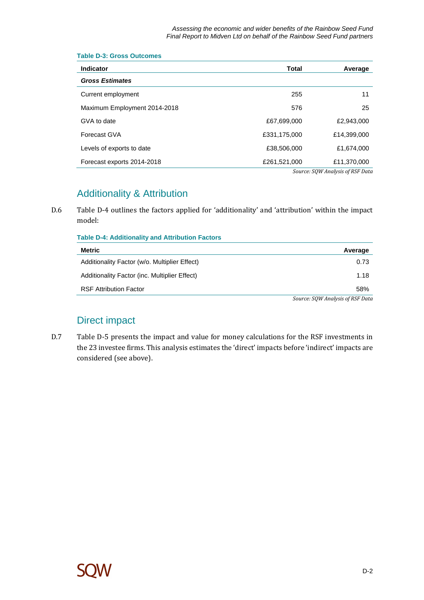| <b>Indicator</b>             | <b>Total</b> | Average                         |
|------------------------------|--------------|---------------------------------|
| <b>Gross Estimates</b>       |              |                                 |
| Current employment           | 255          | 11                              |
| Maximum Employment 2014-2018 | 576          | 25                              |
| GVA to date                  | £67,699,000  | £2,943,000                      |
| Forecast GVA                 | £331,175,000 | £14,399,000                     |
| Levels of exports to date    | £38,506,000  | £1,674,000                      |
| Forecast exports 2014-2018   | £261,521,000 | £11,370,000                     |
|                              |              | Cource COM Anglucie of DCE Data |

#### **Table D-3: Gross Outcomes**

*Source: SQW Analysis of RSF Data* 

## Additionality & Attribution

D.6 Table D-4 outlines the factors applied for 'additionality' and 'attribution' within the impact model:

| <b>Table D-4: Additionality and Attribution Factors</b> |                                    |  |
|---------------------------------------------------------|------------------------------------|--|
| Metric                                                  | Average                            |  |
| Additionality Factor (w/o. Multiplier Effect)           | 0.73                               |  |
| Additionality Factor (inc. Multiplier Effect)           | 1.18                               |  |
| <b>RSF Attribution Factor</b>                           | 58%                                |  |
|                                                         | Course, COMI Applicate of DCE Data |  |

*Source: SQW Analysis of RSF Data* 

## Direct impact

D.7 Table D-5 presents the impact and value for money calculations for the RSF investments in the 23 investee firms. This analysis estimates the 'direct' impacts before 'indirect' impacts are considered (see above).

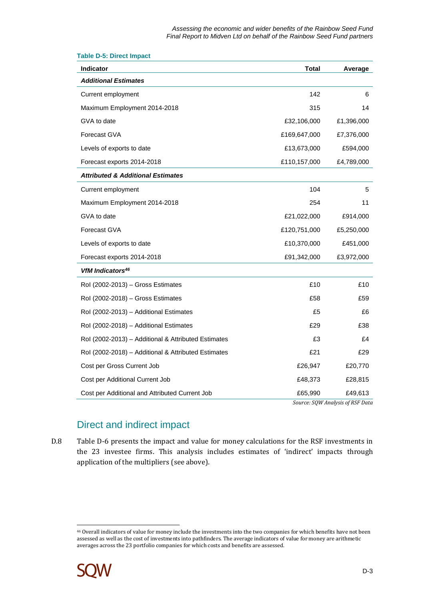| <b>Indicator</b>                                    | Total        | Average    |
|-----------------------------------------------------|--------------|------------|
| <b>Additional Estimates</b>                         |              |            |
| Current employment                                  | 142          | 6          |
| Maximum Employment 2014-2018                        | 315          | 14         |
| GVA to date                                         | £32,106,000  | £1,396,000 |
| Forecast GVA                                        | £169,647,000 | £7,376,000 |
| Levels of exports to date                           | £13,673,000  | £594,000   |
| Forecast exports 2014-2018                          | £110,157,000 | £4,789,000 |
| <b>Attributed &amp; Additional Estimates</b>        |              |            |
| Current employment                                  | 104          | 5          |
| Maximum Employment 2014-2018                        | 254          | 11         |
| GVA to date                                         | £21,022,000  | £914,000   |
| Forecast GVA                                        | £120,751,000 | £5,250,000 |
| Levels of exports to date                           | £10,370,000  | £451,000   |
| Forecast exports 2014-2018                          | £91,342,000  | £3,972,000 |
| VfM Indicators <sup>46</sup>                        |              |            |
| Rol (2002-2013) - Gross Estimates                   | £10          | £10        |
| Rol (2002-2018) - Gross Estimates                   | £58          | £59        |
| Rol (2002-2013) - Additional Estimates              | £5           | £6         |
| Rol (2002-2018) - Additional Estimates              | £29          | £38        |
| Rol (2002-2013) - Additional & Attributed Estimates | £3           | £4         |
| Rol (2002-2018) - Additional & Attributed Estimates | £21          | £29        |
| Cost per Gross Current Job                          | £26,947      | £20,770    |
| Cost per Additional Current Job                     | £48,373      | £28,815    |
| Cost per Additional and Attributed Current Job      | £65,990      | £49,613    |

#### **Table D-5: Direct Impact**

*Source: SQW Analysis of RSF Data* 

## Direct and indirect impact

D.8 Table D-6 presents the impact and value for money calculations for the RSF investments in the 23 investee firms. This analysis includes estimates of 'indirect' impacts through application of the multipliers (see above).

 $\overline{a}$ <sup>46</sup> Overall indicators of value for money include the investments into the two companies for which benefits have not been assessed as well as the cost of investments into pathfinders. The average indicators of value for money are arithmetic averages across the 23 portfolio companies for which costs and benefits are assessed.

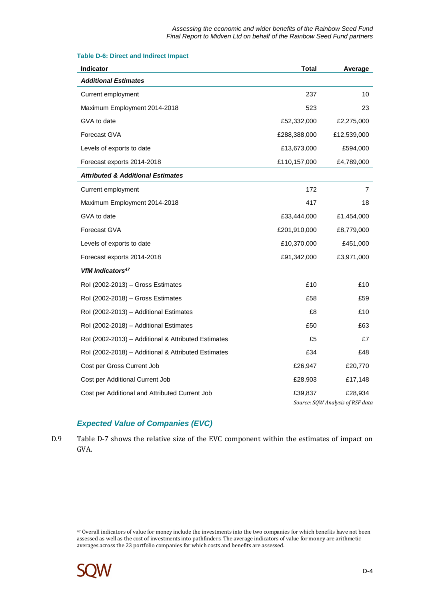| <b>Indicator</b>                                    | <b>Total</b> | Average                                     |
|-----------------------------------------------------|--------------|---------------------------------------------|
| <b>Additional Estimates</b>                         |              |                                             |
| Current employment                                  | 237          | 10                                          |
| Maximum Employment 2014-2018                        | 523          | 23                                          |
| GVA to date                                         | £52,332,000  | £2,275,000                                  |
| Forecast GVA                                        | £288,388,000 | £12,539,000                                 |
| Levels of exports to date                           | £13,673,000  | £594,000                                    |
| Forecast exports 2014-2018                          | £110,157,000 | £4,789,000                                  |
| <b>Attributed &amp; Additional Estimates</b>        |              |                                             |
| Current employment                                  | 172          | 7                                           |
| Maximum Employment 2014-2018                        | 417          | 18                                          |
| GVA to date                                         | £33,444,000  | £1,454,000                                  |
| Forecast GVA                                        | £201,910,000 | £8,779,000                                  |
| Levels of exports to date                           | £10,370,000  | £451,000                                    |
| Forecast exports 2014-2018                          | £91,342,000  | £3,971,000                                  |
| VfM Indicators <sup>47</sup>                        |              |                                             |
| Rol (2002-2013) - Gross Estimates                   | £10          | £10                                         |
| Rol (2002-2018) - Gross Estimates                   | £58          | £59                                         |
| Rol (2002-2013) - Additional Estimates              | £8           | £10                                         |
| Rol (2002-2018) - Additional Estimates              | £50          | £63                                         |
| Rol (2002-2013) - Additional & Attributed Estimates | £5           | £7                                          |
| Rol (2002-2018) - Additional & Attributed Estimates | £34          | £48                                         |
| Cost per Gross Current Job                          | £26,947      | £20,770                                     |
| Cost per Additional Current Job                     | £28,903      | £17,148                                     |
| Cost per Additional and Attributed Current Job      | £39,837      | £28,934<br>Source: SQW Analysis of RSF data |

#### **Table D-6: Direct and Indirect Impact**

### **Expected Value of Companies (EVC)**

D.9 Table D-7 shows the relative size of the EVC component within the estimates of impact on GVA.

 $\overline{a}$ <sup>47</sup> Overall indicators of value for money include the investments into the two companies for which benefits have not been assessed as well as the cost of investments into pathfinders. The average indicators of value for money are arithmetic averages across the 23 portfolio companies for which costs and benefits are assessed.

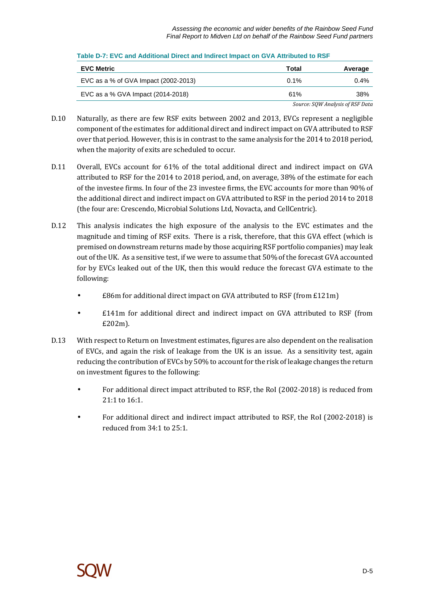| <b>EVC Metric</b>                    | Total   | Average                          |
|--------------------------------------|---------|----------------------------------|
| EVC as a % of GVA Impact (2002-2013) | $0.1\%$ | $0.4\%$                          |
| EVC as a % GVA Impact (2014-2018)    | 61%     | 38%                              |
|                                      |         | Source: SQW Analysis of RSF Data |

### **Table D-7: EVC and Additional Direct and Indirect Impact on GVA Attributed to RSF**

- D.10 Naturally, as there are few RSF exits between 2002 and 2013, EVCs represent a negligible component of the estimates for additional direct and indirect impact on GVA attributed to RSF over that period. However, this is in contrast to the same analysis for the 2014 to 2018 period, when the majority of exits are scheduled to occur.
- D.11 Overall, EVCs account for 61% of the total additional direct and indirect impact on GVA attributed to RSF for the 2014 to 2018 period, and, on average, 38% of the estimate for each of the investee firms. In four of the 23 investee firms, the EVC accounts for more than 90% of the additional direct and indirect impact on GVA attributed to RSF in the period 2014 to 2018 (the four are: Crescendo, Microbial Solutions Ltd, Novacta, and CellCentric).
- D.12 This analysis indicates the high exposure of the analysis to the EVC estimates and the magnitude and timing of RSF exits. There is a risk, therefore, that this GVA effect (which is premised on downstream returns made by those acquiring RSF portfolio companies) may leak out of the UK. As a sensitive test, if we were to assume that 50% of the forecast GVA accounted for by EVCs leaked out of the UK, then this would reduce the forecast GVA estimate to the following:
	- £86m for additional direct impact on GVA attributed to RSF (from £121m)
	- £141m for additional direct and indirect impact on GVA attributed to RSF (from £202m).
- D.13 With respect to Return on Investment estimates, figures are also dependent on the realisation of EVCs, and again the risk of leakage from the UK is an issue. As a sensitivity test, again reducing the contribution of EVCs by 50% to account for the risk of leakage changes the return on investment figures to the following:
	- For additional direct impact attributed to RSF, the RoI (2002-2018) is reduced from 21:1 to 16:1.
	- For additional direct and indirect impact attributed to RSF, the RoI (2002-2018) is reduced from 34:1 to 25:1.

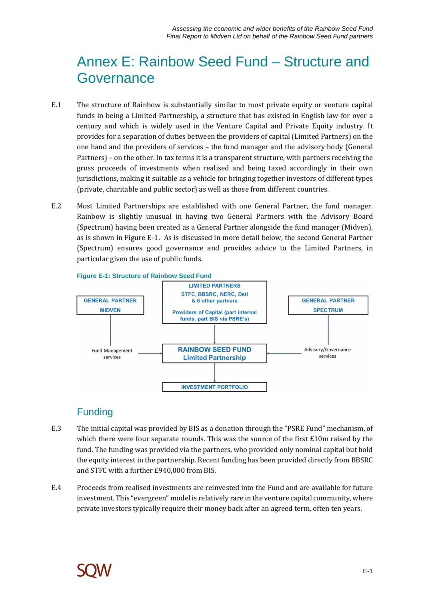## Annex E: Rainbow Seed Fund – Structure and Governance

- E.1 The structure of Rainbow is substantially similar to most private equity or venture capital funds in being a Limited Partnership, a structure that has existed in English law for over a century and which is widely used in the Venture Capital and Private Equity industry. It provides for a separation of duties between the providers of capital (Limited Partners) on the one hand and the providers of services – the fund manager and the advisory body (General Partners) – on the other. In tax terms it is a transparent structure, with partners receiving the gross proceeds of investments when realised and being taxed accordingly in their own jurisdictions, making it suitable as a vehicle for bringing together investors of different types (private, charitable and public sector) as well as those from different countries.
- E.2 Most Limited Partnerships are established with one General Partner, the fund manager. Rainbow is slightly unusual in having two General Partners with the Advisory Board (Spectrum) having been created as a General Partner alongside the fund manager (Midven), as is shown in Figure E-1. As is discussed in more detail below, the second General Partner (Spectrum) ensures good governance and provides advice to the Limited Partners, in particular given the use of public funds.



**Figure E-1: Structure of Rainbow Seed Fund** 

## Funding

- E.3 The initial capital was provided by BIS as a donation through the "PSRE Fund" mechanism, of which there were four separate rounds. This was the source of the first £10m raised by the fund. The funding was provided via the partners, who provided only nominal capital but hold the equity interest in the partnership. Recent funding has been provided directly from BBSRC and STFC with a further £940,000 from BIS.
- E.4 Proceeds from realised investments are reinvested into the Fund and are available for future investment. This "evergreen" model is relatively rare in the venture capital community, where private investors typically require their money back after an agreed term, often ten years.

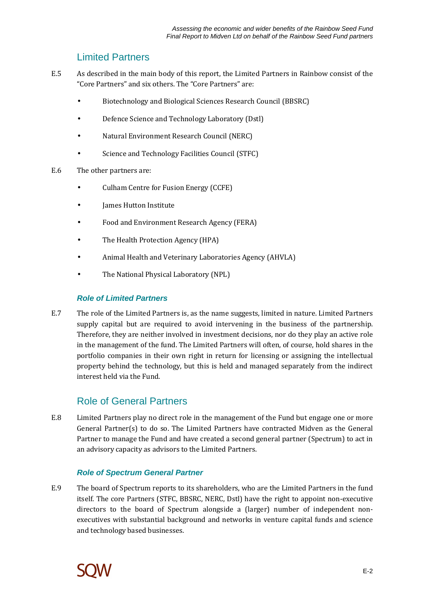### Limited Partners

- E.5 As described in the main body of this report, the Limited Partners in Rainbow consist of the "Core Partners" and six others. The "Core Partners" are:
	- Biotechnology and Biological Sciences Research Council (BBSRC)
	- Defence Science and Technology Laboratory (Dstl)
	- Natural Environment Research Council (NERC)
	- Science and Technology Facilities Council (STFC)
- E.6 The other partners are:
	- Culham Centre for Fusion Energy (CCFE)
	- James Hutton Institute
	- Food and Environment Research Agency (FERA)
	- The Health Protection Agency (HPA)
	- Animal Health and Veterinary Laboratories Agency (AHVLA)
	- The National Physical Laboratory (NPL)

### **Role of Limited Partners**

E.7 The role of the Limited Partners is, as the name suggests, limited in nature. Limited Partners supply capital but are required to avoid intervening in the business of the partnership. Therefore, they are neither involved in investment decisions, nor do they play an active role in the management of the fund. The Limited Partners will often, of course, hold shares in the portfolio companies in their own right in return for licensing or assigning the intellectual property behind the technology, but this is held and managed separately from the indirect interest held via the Fund.

### Role of General Partners

E.8 Limited Partners play no direct role in the management of the Fund but engage one or more General Partner(s) to do so. The Limited Partners have contracted Midven as the General Partner to manage the Fund and have created a second general partner (Spectrum) to act in an advisory capacity as advisors to the Limited Partners.

### **Role of Spectrum General Partner**

E.9 The board of Spectrum reports to its shareholders, who are the Limited Partners in the fund itself. The core Partners (STFC, BBSRC, NERC, Dstl) have the right to appoint non-executive directors to the board of Spectrum alongside a (larger) number of independent nonexecutives with substantial background and networks in venture capital funds and science and technology based businesses.

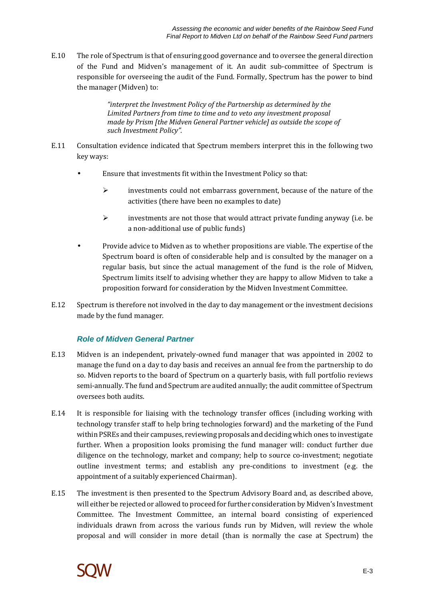E.10 The role of Spectrum is that of ensuring good governance and to oversee the general direction of the Fund and Midven's management of it. An audit sub-committee of Spectrum is responsible for overseeing the audit of the Fund. Formally, Spectrum has the power to bind the manager (Midven) to:

> *"interpret the Investment Policy of the Partnership as determined by the Limited Partners from time to time and to veto any investment proposal made by Prism [the Midven General Partner vehicle] as outside the scope of such Investment Policy".*

- E.11 Consultation evidence indicated that Spectrum members interpret this in the following two key ways:
	- Ensure that investments fit within the Investment Policy so that:
		- investments could not embarrass government, because of the nature of the activities (there have been no examples to date)
		- $\triangleright$  investments are not those that would attract private funding anyway (i.e. be a non-additional use of public funds)
	- Provide advice to Midven as to whether propositions are viable. The expertise of the Spectrum board is often of considerable help and is consulted by the manager on a regular basis, but since the actual management of the fund is the role of Midven, Spectrum limits itself to advising whether they are happy to allow Midven to take a proposition forward for consideration by the Midven Investment Committee.
- E.12 Spectrum is therefore not involved in the day to day management or the investment decisions made by the fund manager.

### **Role of Midven General Partner**

- E.13 Midven is an independent, privately-owned fund manager that was appointed in 2002 to manage the fund on a day to day basis and receives an annual fee from the partnership to do so. Midven reports to the board of Spectrum on a quarterly basis, with full portfolio reviews semi-annually. The fund and Spectrum are audited annually; the audit committee of Spectrum oversees both audits.
- E.14 It is responsible for liaising with the technology transfer offices (including working with technology transfer staff to help bring technologies forward) and the marketing of the Fund within PSREs and their campuses, reviewing proposals and deciding which ones to investigate further. When a proposition looks promising the fund manager will: conduct further due diligence on the technology, market and company; help to source co-investment; negotiate outline investment terms; and establish any pre-conditions to investment (e.g. the appointment of a suitably experienced Chairman).
- E.15 The investment is then presented to the Spectrum Advisory Board and, as described above, will either be rejected or allowed to proceed for further consideration by Midven's Investment Committee. The Investment Committee, an internal board consisting of experienced individuals drawn from across the various funds run by Midven, will review the whole proposal and will consider in more detail (than is normally the case at Spectrum) the